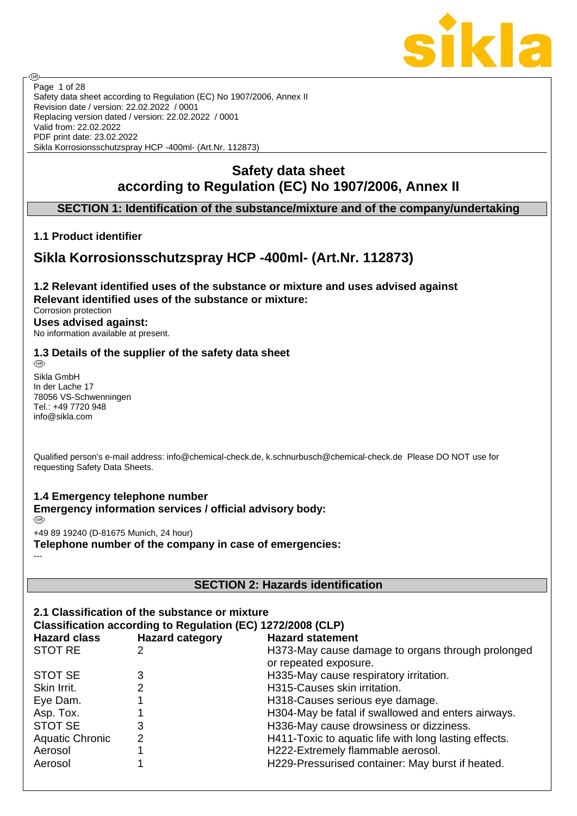

Safety data sheet according to Regulation (EC) No 1907/2006, Annex II Revision date / version: 22.02.2022 / 0001 Replacing version dated / version: 22.02.2022 / 0001 Valid from: 22.02.2022 PDF print date: 23.02.2022 Sikla Korrosionsschutzspray HCP -400ml- (Art.Nr. 112873) Page 1 of 28

# **Safety data sheet according to Regulation (EC) No 1907/2006, Annex II**

## **SECTION 1: Identification of the substance/mixture and of the company/undertaking**

## **1.1 Product identifier**

**ි** 

# **Sikla Korrosionsschutzspray HCP -400ml- (Art.Nr. 112873)**

**1.2 Relevant identified uses of the substance or mixture and uses advised against Relevant identified uses of the substance or mixture:** Corrosion protection **Uses advised against:** No information available at present.

# **1.3 Details of the supplier of the safety data sheet**

Sikla GmbH In der Lache 17 78056 VS-Schwenningen Tel.: +49 7720 948 info@sikla.com

Qualified person's e-mail address: info@chemical-check.de, k.schnurbusch@chemical-check.de Please DO NOT use for requesting Safety Data Sheets.

#### **1.4 Emergency telephone number Emergency information services / official advisory body:** ැවි.

+49 89 19240 (D-81675 Munich, 24 hour)

**Telephone number of the company in case of emergencies:** ---

## **SECTION 2: Hazards identification**

|                        | 2.1 Classification of the substance or mixture<br>Classification according to Regulation (EC) 1272/2008 (CLP) |                                                                            |
|------------------------|---------------------------------------------------------------------------------------------------------------|----------------------------------------------------------------------------|
| <b>Hazard class</b>    | <b>Hazard category</b>                                                                                        | <b>Hazard statement</b>                                                    |
| <b>STOT RE</b>         |                                                                                                               | H373-May cause damage to organs through prolonged<br>or repeated exposure. |
| STOT SE                | 3                                                                                                             | H335-May cause respiratory irritation.                                     |
| Skin Irrit.            | 2                                                                                                             | H315-Causes skin irritation.                                               |
| Eye Dam.               |                                                                                                               | H318-Causes serious eye damage.                                            |
| Asp. Tox.              |                                                                                                               | H304-May be fatal if swallowed and enters airways.                         |
| STOT SE                | 3                                                                                                             | H336-May cause drowsiness or dizziness.                                    |
| <b>Aquatic Chronic</b> | 2                                                                                                             | H411-Toxic to aquatic life with long lasting effects.                      |
| Aerosol                |                                                                                                               | H222-Extremely flammable aerosol.                                          |
| Aerosol                |                                                                                                               | H229-Pressurised container: May burst if heated.                           |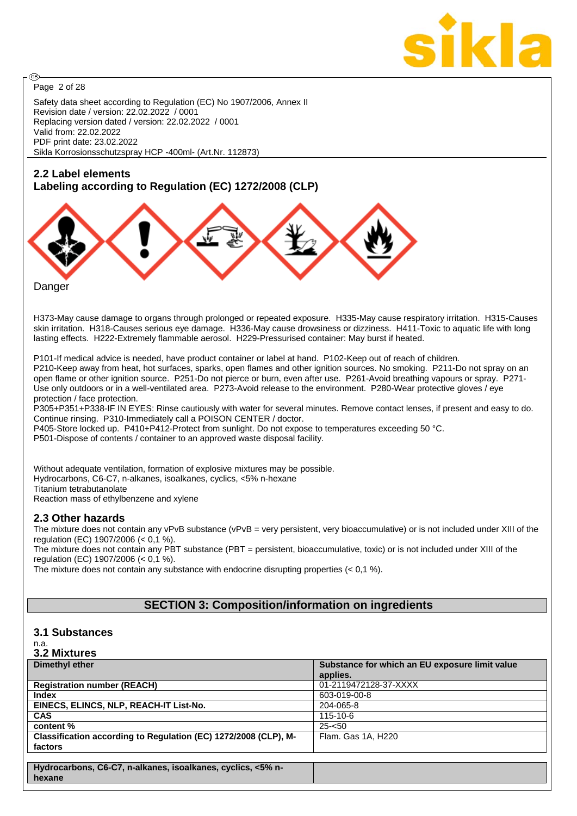

Page 2 of 28

@

Safety data sheet according to Regulation (EC) No 1907/2006, Annex II Revision date / version: 22.02.2022 / 0001 Replacing version dated / version: 22.02.2022 / 0001 Valid from: 22.02.2022 PDF print date: 23.02.2022 Sikla Korrosionsschutzspray HCP -400ml- (Art.Nr. 112873)

## **2.2 Label elements**

## **Labeling according to Regulation (EC) 1272/2008 (CLP)**



Danger

H373-May cause damage to organs through prolonged or repeated exposure. H335-May cause respiratory irritation. H315-Causes skin irritation. H318-Causes serious eye damage. H336-May cause drowsiness or dizziness. H411-Toxic to aquatic life with long lasting effects. H222-Extremely flammable aerosol. H229-Pressurised container: May burst if heated.

P101-If medical advice is needed, have product container or label at hand. P102-Keep out of reach of children. P210-Keep away from heat, hot surfaces, sparks, open flames and other ignition sources. No smoking. P211-Do not spray on an open flame or other ignition source. P251-Do not pierce or burn, even after use. P261-Avoid breathing vapours or spray. P271- Use only outdoors or in a well-ventilated area. P273-Avoid release to the environment. P280-Wear protective gloves / eye protection / face protection.

P305+P351+P338-IF IN EYES: Rinse cautiously with water for several minutes. Remove contact lenses, if present and easy to do. Continue rinsing. P310-Immediately call a POISON CENTER / doctor.

P405-Store locked up. P410+P412-Protect from sunlight. Do not expose to temperatures exceeding 50 °C.

P501-Dispose of contents / container to an approved waste disposal facility.

Without adequate ventilation, formation of explosive mixtures may be possible. Hydrocarbons, C6-C7, n-alkanes, isoalkanes, cyclics, <5% n-hexane Titanium tetrabutanolate Reaction mass of ethylbenzene and xylene

## **2.3 Other hazards**

The mixture does not contain any vPvB substance (vPvB = very persistent, very bioaccumulative) or is not included under XIII of the regulation (EC) 1907/2006 (< 0,1 %).

The mixture does not contain any PBT substance (PBT = persistent, bioaccumulative, toxic) or is not included under XIII of the regulation (EC) 1907/2006 (< 0,1 %).

The mixture does not contain any substance with endocrine disrupting properties (< 0,1 %).

## **SECTION 3: Composition/information on ingredients**

## **3.1 Substances**

#### n.a. **3.2 Mixtures**

| U.L MIALUI VJ                                                   |                                                |
|-----------------------------------------------------------------|------------------------------------------------|
| Dimethyl ether                                                  | Substance for which an EU exposure limit value |
|                                                                 | applies.                                       |
| <b>Registration number (REACH)</b>                              | 01-2119472128-37-XXXX                          |
| Index                                                           | 603-019-00-8                                   |
| EINECS, ELINCS, NLP, REACH-IT List-No.                          | 204-065-8                                      |
| <b>CAS</b>                                                      | $115 - 10 - 6$                                 |
| content %                                                       | $25 - 50$                                      |
| Classification according to Regulation (EC) 1272/2008 (CLP), M- | Flam. Gas 1A, H220                             |
| factors                                                         |                                                |
|                                                                 |                                                |
| Hydrocarbons, C6-C7, n-alkanes, isoalkanes, cyclics, <5% n-     |                                                |
| hexane                                                          |                                                |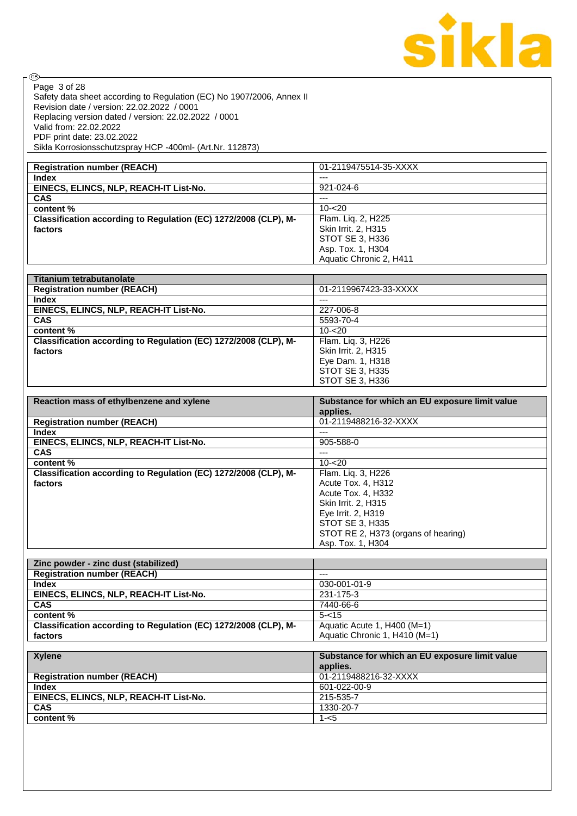

| ®                                                                     |                                                |
|-----------------------------------------------------------------------|------------------------------------------------|
| Page 3 of 28                                                          |                                                |
| Safety data sheet according to Regulation (EC) No 1907/2006, Annex II |                                                |
| Revision date / version: 22.02.2022 / 0001                            |                                                |
| Replacing version dated / version: 22.02.2022 / 0001                  |                                                |
| Valid from: 22.02.2022                                                |                                                |
| PDF print date: 23.02.2022                                            |                                                |
| Sikla Korrosionsschutzspray HCP -400ml- (Art.Nr. 112873)              |                                                |
|                                                                       |                                                |
| <b>Registration number (REACH)</b>                                    | 01-2119475514-35-XXXX                          |
| Index                                                                 | $---$                                          |
| EINECS, ELINCS, NLP, REACH-IT List-No.                                | 921-024-6                                      |
| <b>CAS</b>                                                            | $\overline{a}$                                 |
| content %                                                             | $10 - 20$                                      |
| Classification according to Regulation (EC) 1272/2008 (CLP), M-       | Flam. Liq. 2, H225                             |
| factors                                                               | Skin Irrit. 2, H315                            |
|                                                                       | STOT SE 3, H336                                |
|                                                                       | Asp. Tox. 1, H304                              |
|                                                                       | Aquatic Chronic 2, H411                        |
| <b>Titanium tetrabutanolate</b>                                       |                                                |
| <b>Registration number (REACH)</b>                                    | 01-2119967423-33-XXXX                          |
| <b>Index</b>                                                          | $---$                                          |
| EINECS, ELINCS, NLP, REACH-IT List-No.                                | 227-006-8                                      |
| <b>CAS</b>                                                            | 5593-70-4                                      |
| content %                                                             | $10 - 20$                                      |
| Classification according to Regulation (EC) 1272/2008 (CLP), M-       | Flam. Liq. 3, H226                             |
| factors                                                               | Skin Irrit. 2, H315                            |
|                                                                       | Eye Dam. 1, H318                               |
|                                                                       | STOT SE 3, H335                                |
|                                                                       | STOT SE 3, H336                                |
|                                                                       |                                                |
|                                                                       |                                                |
| Reaction mass of ethylbenzene and xylene                              | Substance for which an EU exposure limit value |
|                                                                       | applies.                                       |
| <b>Registration number (REACH)</b>                                    | 01-2119488216-32-XXXX                          |
| <b>Index</b>                                                          | $\overline{a}$                                 |
| EINECS, ELINCS, NLP, REACH-IT List-No.                                | 905-588-0                                      |
| CAS                                                                   | $\overline{a}$                                 |
| content %                                                             | $10 - 20$                                      |
| Classification according to Regulation (EC) 1272/2008 (CLP), M-       | Flam. Liq. 3, H226                             |
| factors                                                               | Acute Tox. 4, H312                             |
|                                                                       | Acute Tox. 4, H332                             |
|                                                                       | Skin Irrit. 2, H315                            |
|                                                                       | Eye Irrit. 2, H319                             |
|                                                                       | <b>STOT SE 3, H335</b>                         |
|                                                                       | STOT RE 2, H373 (organs of hearing)            |
|                                                                       | Asp. Tox. 1, H304                              |
| Zinc powder - zinc dust (stabilized)                                  |                                                |
| <b>Registration number (REACH)</b>                                    | $\overline{a}$                                 |
| <b>Index</b>                                                          | 030-001-01-9                                   |
| EINECS, ELINCS, NLP, REACH-IT List-No.                                | 231-175-3                                      |
| <b>CAS</b>                                                            | 7440-66-6                                      |
| content %                                                             | $5 - 15$                                       |
| Classification according to Regulation (EC) 1272/2008 (CLP), M-       | Aquatic Acute 1, H400 (M=1)                    |
| factors                                                               | Aquatic Chronic 1, H410 (M=1)                  |
|                                                                       |                                                |
| <b>Xylene</b>                                                         | Substance for which an EU exposure limit value |
|                                                                       | applies.                                       |
| <b>Registration number (REACH)</b>                                    | 01-2119488216-32-XXXX                          |
| <b>Index</b>                                                          | 601-022-00-9                                   |
| EINECS, ELINCS, NLP, REACH-IT List-No.                                | 215-535-7                                      |
| <b>CAS</b><br>content %                                               | 1330-20-7<br>$1 - 5$                           |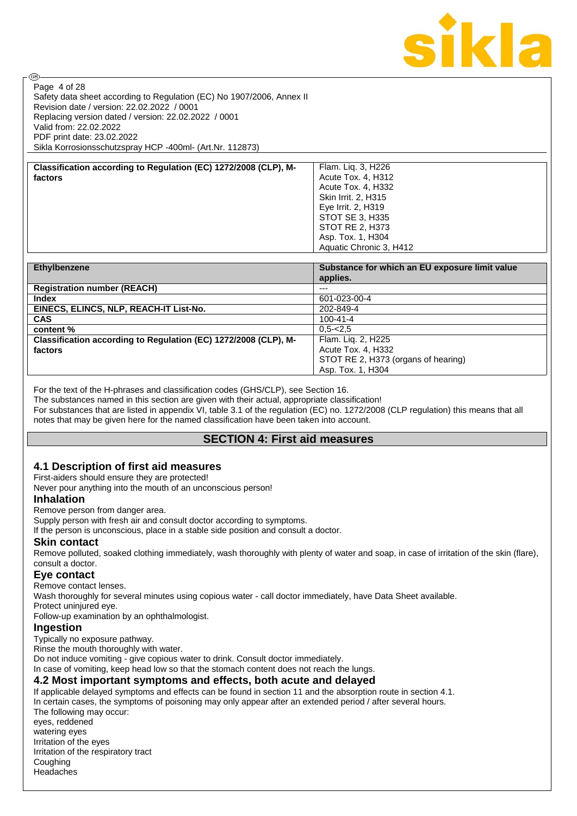

Safety data sheet according to Regulation (EC) No 1907/2006, Annex II Revision date / version: 22.02.2022 / 0001 Replacing version dated / version: 22.02.2022 / 0001 Valid from: 22.02.2022 PDF print date: 23.02.2022 Sikla Korrosionsschutzspray HCP -400ml- (Art.Nr. 112873) Page 4 of 28

**Classification according to Regulation (EC) 1272/2008 (CLP), Mfactors**

| Flam. Lig. 3, H226      |
|-------------------------|
| Acute Tox. 4, H312      |
| Acute Tox. 4, H332      |
| Skin Irrit. 2, H315     |
| Eye Irrit. 2, H319      |
| STOT SE 3, H335         |
| <b>STOT RE 2, H373</b>  |
| Asp. Tox. 1, H304       |
| Aquatic Chronic 3, H412 |
|                         |

| Ethylbenzene                                                    | Substance for which an EU exposure limit value |
|-----------------------------------------------------------------|------------------------------------------------|
|                                                                 | applies.                                       |
| <b>Registration number (REACH)</b>                              | $---$                                          |
| Index                                                           | 601-023-00-4                                   |
| EINECS, ELINCS, NLP, REACH-IT List-No.                          | 202-849-4                                      |
| <b>CAS</b>                                                      | $100 - 41 - 4$                                 |
| content %                                                       | $0.5 - 2.5$                                    |
| Classification according to Regulation (EC) 1272/2008 (CLP), M- | Flam. Lig. 2, H225                             |
| factors                                                         | Acute Tox. 4, H332                             |
|                                                                 | STOT RE 2, H373 (organs of hearing)            |
|                                                                 | Asp. Tox. 1, H304                              |

For the text of the H-phrases and classification codes (GHS/CLP), see Section 16.

The substances named in this section are given with their actual, appropriate classification! For substances that are listed in appendix VI, table 3.1 of the regulation (EC) no. 1272/2008 (CLP regulation) this means that all notes that may be given here for the named classification have been taken into account.

## **SECTION 4: First aid measures**

## **4.1 Description of first aid measures**

First-aiders should ensure they are protected!

Never pour anything into the mouth of an unconscious person!

#### **Inhalation**

**ි** 

Remove person from danger area.

Supply person with fresh air and consult doctor according to symptoms.

If the person is unconscious, place in a stable side position and consult a doctor.

#### **Skin contact**

Remove polluted, soaked clothing immediately, wash thoroughly with plenty of water and soap, in case of irritation of the skin (flare), consult a doctor.

#### **Eye contact**

Remove contact lenses.

Wash thoroughly for several minutes using copious water - call doctor immediately, have Data Sheet available.

Protect uninjured eye.

Follow-up examination by an ophthalmologist.

#### **Ingestion**

Typically no exposure pathway. Rinse the mouth thoroughly with water.

Do not induce vomiting - give copious water to drink. Consult doctor immediately.

In case of vomiting, keep head low so that the stomach content does not reach the lungs.

#### **4.2 Most important symptoms and effects, both acute and delayed**

If applicable delayed symptoms and effects can be found in section 11 and the absorption route in section 4.1. In certain cases, the symptoms of poisoning may only appear after an extended period / after several hours. The following may occur: eyes, reddened watering eyes Irritation of the eyes Irritation of the respiratory tract **Coughing** Headaches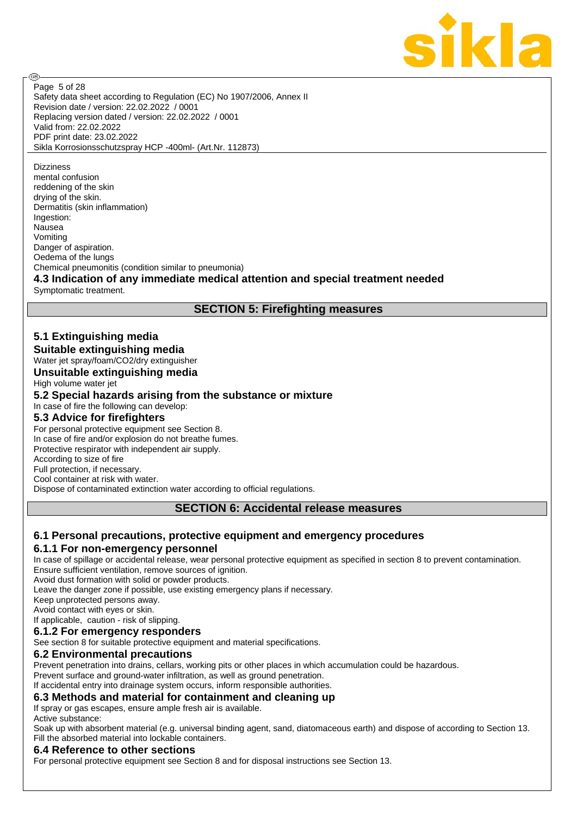

**ි** 

Safety data sheet according to Regulation (EC) No 1907/2006, Annex II Revision date / version: 22.02.2022 / 0001 Replacing version dated / version: 22.02.2022 / 0001 Valid from: 22.02.2022 PDF print date: 23.02.2022 Sikla Korrosionsschutzspray HCP -400ml- (Art.Nr. 112873) Page 5 of 28

**Dizziness** 

mental confusion reddening of the skin drying of the skin. Dermatitis (skin inflammation) Ingestion: **Nausea** Vomiting Danger of aspiration. Oedema of the lungs Chemical pneumonitis (condition similar to pneumonia)

## **4.3 Indication of any immediate medical attention and special treatment needed**

Symptomatic treatment.

## **SECTION 5: Firefighting measures**

## **5.1 Extinguishing media**

**Suitable extinguishing media**

Water jet spray/foam/CO2/dry extinguisher

**Unsuitable extinguishing media**

High volume water jet

#### **5.2 Special hazards arising from the substance or mixture**

In case of fire the following can develop:

## **5.3 Advice for firefighters**

For personal protective equipment see Section 8. In case of fire and/or explosion do not breathe fumes.

Protective respirator with independent air supply.

According to size of fire

Full protection, if necessary.

Cool container at risk with water.

Dispose of contaminated extinction water according to official regulations.

#### **SECTION 6: Accidental release measures**

#### **6.1 Personal precautions, protective equipment and emergency procedures 6.1.1 For non-emergency personnel**

In case of spillage or accidental release, wear personal protective equipment as specified in section 8 to prevent contamination. Ensure sufficient ventilation, remove sources of ignition.

Avoid dust formation with solid or powder products.

Leave the danger zone if possible, use existing emergency plans if necessary.

Keep unprotected persons away.

Avoid contact with eyes or skin.

If applicable, caution - risk of slipping.

**6.1.2 For emergency responders**

See section 8 for suitable protective equipment and material specifications.

#### **6.2 Environmental precautions**

Prevent penetration into drains, cellars, working pits or other places in which accumulation could be hazardous.

Prevent surface and ground-water infiltration, as well as ground penetration.

If accidental entry into drainage system occurs, inform responsible authorities.

## **6.3 Methods and material for containment and cleaning up**

If spray or gas escapes, ensure ample fresh air is available.

Active substance:

Soak up with absorbent material (e.g. universal binding agent, sand, diatomaceous earth) and dispose of according to Section 13. Fill the absorbed material into lockable containers.

#### **6.4 Reference to other sections**

For personal protective equipment see Section 8 and for disposal instructions see Section 13.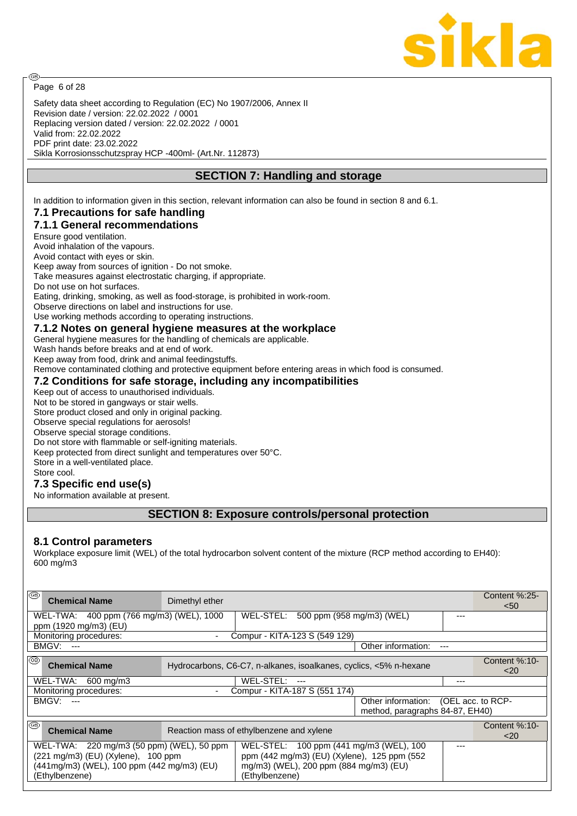

Page 6 of 28

**ි** 

Safety data sheet according to Regulation (EC) No 1907/2006, Annex II Revision date / version: 22.02.2022 / 0001 Replacing version dated / version: 22.02.2022 / 0001 Valid from: 22.02.2022 PDF print date: 23.02.2022 Sikla Korrosionsschutzspray HCP -400ml- (Art.Nr. 112873)

## **SECTION 7: Handling and storage**

In addition to information given in this section, relevant information can also be found in section 8 and 6.1.

## **7.1 Precautions for safe handling**

## **7.1.1 General recommendations**

Ensure good ventilation.

Avoid inhalation of the vapours.

Avoid contact with eyes or skin.

Keep away from sources of ignition - Do not smoke.

Take measures against electrostatic charging, if appropriate.

Do not use on hot surfaces.

Eating, drinking, smoking, as well as food-storage, is prohibited in work-room.

Observe directions on label and instructions for use.

Use working methods according to operating instructions.

#### **7.1.2 Notes on general hygiene measures at the workplace**

General hygiene measures for the handling of chemicals are applicable.

Wash hands before breaks and at end of work.

Keep away from food, drink and animal feedingstuffs.

Remove contaminated clothing and protective equipment before entering areas in which food is consumed.

#### **7.2 Conditions for safe storage, including any incompatibilities**

Keep out of access to unauthorised individuals.

Not to be stored in gangways or stair wells.

Store product closed and only in original packing.

Observe special regulations for aerosols!

Observe special storage conditions.

Do not store with flammable or self-igniting materials.

Keep protected from direct sunlight and temperatures over 50°C.

Store in a well-ventilated place.

Store cool.

## **7.3 Specific end use(s)**

No information available at present.

## **SECTION 8: Exposure controls/personal protection**

#### **8.1 Control parameters**

Workplace exposure limit (WEL) of the total hydrocarbon solvent content of the mixture (RCP method according to EH40): 600 mg/m3

| ⊛<br>Dimethyl ether<br><b>Chemical Name</b>                                                                                                     |                                                                                                                                                    |     | Content %:25-<br>< 50     |
|-------------------------------------------------------------------------------------------------------------------------------------------------|----------------------------------------------------------------------------------------------------------------------------------------------------|-----|---------------------------|
| WEL-TWA: 400 ppm (766 mg/m3) (WEL), 1000<br>ppm (1920 mg/m3) (EU)                                                                               | WEL-STEL: 500 ppm (958 mg/m3) (WEL)                                                                                                                | --- |                           |
| Monitoring procedures:                                                                                                                          | Compur - KITA-123 S (549 129)<br>$\sim$                                                                                                            |     |                           |
| <b>BMGV: ---</b>                                                                                                                                | Other information:                                                                                                                                 |     |                           |
| ⊛<br><b>Chemical Name</b>                                                                                                                       | Hydrocarbons, C6-C7, n-alkanes, isoalkanes, cyclics, <5% n-hexane                                                                                  |     | Content $%:10-$<br>$<$ 20 |
| WEL-TWA:<br>600 mg/m3                                                                                                                           | WEL-STEL:<br>$---$                                                                                                                                 | --- |                           |
| Monitoring procedures:                                                                                                                          | Compur - KITA-187 S (551 174)                                                                                                                      |     |                           |
| BMGV:<br>$---$                                                                                                                                  | Other information: (OEL acc. to RCP-<br>method, paragraphs 84-87, EH40)                                                                            |     |                           |
| ∣®<br><b>Chemical Name</b>                                                                                                                      | Reaction mass of ethylbenzene and xylene                                                                                                           |     | Content %:10-<br>$<$ 20   |
| WEL-TWA: 220 mg/m3 (50 ppm) (WEL), 50 ppm<br>(221 mg/m3) (EU) (Xylene), 100 ppm<br>(441mg/m3) (WEL), 100 ppm (442 mg/m3) (EU)<br>(Ethylbenzene) | WEL-STEL: 100 ppm (441 mg/m3 (WEL), 100<br>ppm (442 mg/m3) (EU) (Xylene), 125 ppm (552<br>mg/m3) (WEL), 200 ppm (884 mg/m3) (EU)<br>(Ethylbenzene) | --- |                           |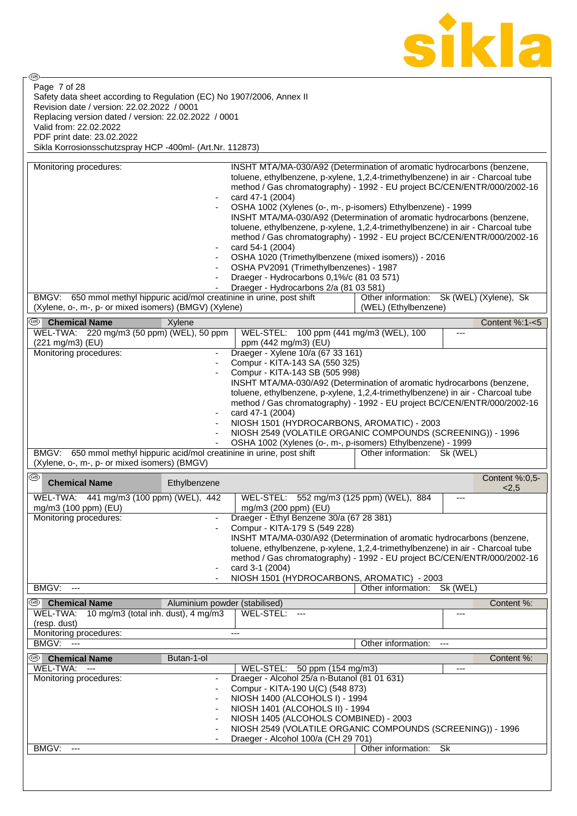

⊛ Page 7 of 28Safety data sheet according to Regulation (EC) No 1907/2006, Annex II Revision date / version: 22.02.2022 / 0001 Replacing version dated / version: 22.02.2022 / 0001 Valid from: 22.02.2022 PDF print date: 23.02.2022 Sikla Korrosionsschutzspray HCP -400ml- (Art.Nr. 112873)

| Monitoring procedures:                                                  | ÷,                            | INSHT MTA/MA-030/A92 (Determination of aromatic hydrocarbons (benzene,<br>toluene, ethylbenzene, p-xylene, 1,2,4-trimethylbenzene) in air - Charcoal tube<br>method / Gas chromatography) - 1992 - EU project BC/CEN/ENTR/000/2002-16<br>card 47-1 (2004)<br>OSHA 1002 (Xylenes (o-, m-, p-isomers) Ethylbenzene) - 1999<br>INSHT MTA/MA-030/A92 (Determination of aromatic hydrocarbons (benzene,<br>toluene, ethylbenzene, p-xylene, 1,2,4-trimethylbenzene) in air - Charcoal tube<br>method / Gas chromatography) - 1992 - EU project BC/CEN/ENTR/000/2002-16<br>card 54-1 (2004)<br>OSHA 1020 (Trimethylbenzene (mixed isomers)) - 2016<br>OSHA PV2091 (Trimethylbenzenes) - 1987<br>Draeger - Hydrocarbons 0,1%/c (81 03 571) |                                          |           |                |
|-------------------------------------------------------------------------|-------------------------------|-------------------------------------------------------------------------------------------------------------------------------------------------------------------------------------------------------------------------------------------------------------------------------------------------------------------------------------------------------------------------------------------------------------------------------------------------------------------------------------------------------------------------------------------------------------------------------------------------------------------------------------------------------------------------------------------------------------------------------------|------------------------------------------|-----------|----------------|
|                                                                         |                               | Draeger - Hydrocarbons 2/a (81 03 581)                                                                                                                                                                                                                                                                                                                                                                                                                                                                                                                                                                                                                                                                                              |                                          |           |                |
| BMGV: 650 mmol methyl hippuric acid/mol creatinine in urine, post shift |                               |                                                                                                                                                                                                                                                                                                                                                                                                                                                                                                                                                                                                                                                                                                                                     | Other information: Sk (WEL) (Xylene), Sk |           |                |
| (Xylene, o-, m-, p- or mixed isomers) (BMGV) (Xylene)                   |                               |                                                                                                                                                                                                                                                                                                                                                                                                                                                                                                                                                                                                                                                                                                                                     | (WEL) (Ethylbenzene)                     |           |                |
| ☜<br><b>Chemical Name</b>                                               | Xylene                        |                                                                                                                                                                                                                                                                                                                                                                                                                                                                                                                                                                                                                                                                                                                                     |                                          |           | Content %:1-<5 |
| WEL-TWA: 220 mg/m3 (50 ppm) (WEL), 50 ppm                               |                               | WEL-STEL: 100 ppm (441 mg/m3 (WEL), 100                                                                                                                                                                                                                                                                                                                                                                                                                                                                                                                                                                                                                                                                                             |                                          | ---       |                |
| (221 mg/m3) (EU)<br>Monitoring procedures:                              |                               | ppm (442 mg/m3) (EU)<br>Draeger - Xylene 10/a (67 33 161)                                                                                                                                                                                                                                                                                                                                                                                                                                                                                                                                                                                                                                                                           |                                          |           |                |
|                                                                         |                               |                                                                                                                                                                                                                                                                                                                                                                                                                                                                                                                                                                                                                                                                                                                                     |                                          |           |                |
|                                                                         | ÷,                            | Compur - KITA-143 SA (550 325)                                                                                                                                                                                                                                                                                                                                                                                                                                                                                                                                                                                                                                                                                                      |                                          |           |                |
|                                                                         |                               | Compur - KITA-143 SB (505 998)                                                                                                                                                                                                                                                                                                                                                                                                                                                                                                                                                                                                                                                                                                      |                                          |           |                |
|                                                                         |                               | INSHT MTA/MA-030/A92 (Determination of aromatic hydrocarbons (benzene,                                                                                                                                                                                                                                                                                                                                                                                                                                                                                                                                                                                                                                                              |                                          |           |                |
|                                                                         |                               | toluene, ethylbenzene, p-xylene, 1,2,4-trimethylbenzene) in air - Charcoal tube                                                                                                                                                                                                                                                                                                                                                                                                                                                                                                                                                                                                                                                     |                                          |           |                |
|                                                                         |                               | method / Gas chromatography) - 1992 - EU project BC/CEN/ENTR/000/2002-16                                                                                                                                                                                                                                                                                                                                                                                                                                                                                                                                                                                                                                                            |                                          |           |                |
|                                                                         |                               | card 47-1 (2004)                                                                                                                                                                                                                                                                                                                                                                                                                                                                                                                                                                                                                                                                                                                    |                                          |           |                |
|                                                                         |                               | NIOSH 1501 (HYDROCARBONS, AROMATIC) - 2003                                                                                                                                                                                                                                                                                                                                                                                                                                                                                                                                                                                                                                                                                          |                                          |           |                |
|                                                                         |                               | NIOSH 2549 (VOLATILE ORGANIC COMPOUNDS (SCREENING)) - 1996                                                                                                                                                                                                                                                                                                                                                                                                                                                                                                                                                                                                                                                                          |                                          |           |                |
|                                                                         |                               | OSHA 1002 (Xylenes (o-, m-, p-isomers) Ethylbenzene) - 1999                                                                                                                                                                                                                                                                                                                                                                                                                                                                                                                                                                                                                                                                         |                                          |           |                |
| BMGV: 650 mmol methyl hippuric acid/mol creatinine in urine, post shift |                               |                                                                                                                                                                                                                                                                                                                                                                                                                                                                                                                                                                                                                                                                                                                                     | Other information: Sk (WEL)              |           |                |
| (Xylene, o-, m-, p- or mixed isomers) (BMGV)                            |                               |                                                                                                                                                                                                                                                                                                                                                                                                                                                                                                                                                                                                                                                                                                                                     |                                          |           |                |
|                                                                         |                               |                                                                                                                                                                                                                                                                                                                                                                                                                                                                                                                                                                                                                                                                                                                                     |                                          |           |                |
| ®<br><b>Chemical Name</b>                                               | Ethylbenzene                  |                                                                                                                                                                                                                                                                                                                                                                                                                                                                                                                                                                                                                                                                                                                                     |                                          |           | Content %:0,5- |
| WEL-TWA: 441 mg/m3 (100 ppm) (WEL), 442                                 |                               | WEL-STEL: 552 mg/m3 (125 ppm) (WEL), 884                                                                                                                                                                                                                                                                                                                                                                                                                                                                                                                                                                                                                                                                                            |                                          | ---       | 2,5            |
| mg/m3 (100 ppm) (EU)                                                    |                               | mg/m3 (200 ppm) (EU)                                                                                                                                                                                                                                                                                                                                                                                                                                                                                                                                                                                                                                                                                                                |                                          |           |                |
| Monitoring procedures:                                                  |                               | Draeger - Ethyl Benzene 30/a (67 28 381)                                                                                                                                                                                                                                                                                                                                                                                                                                                                                                                                                                                                                                                                                            |                                          |           |                |
|                                                                         |                               | Compur - KITA-179 S (549 228)                                                                                                                                                                                                                                                                                                                                                                                                                                                                                                                                                                                                                                                                                                       |                                          |           |                |
|                                                                         |                               | INSHT MTA/MA-030/A92 (Determination of aromatic hydrocarbons (benzene,                                                                                                                                                                                                                                                                                                                                                                                                                                                                                                                                                                                                                                                              |                                          |           |                |
|                                                                         |                               | toluene, ethylbenzene, p-xylene, 1,2,4-trimethylbenzene) in air - Charcoal tube                                                                                                                                                                                                                                                                                                                                                                                                                                                                                                                                                                                                                                                     |                                          |           |                |
|                                                                         |                               | method / Gas chromatography) - 1992 - EU project BC/CEN/ENTR/000/2002-16                                                                                                                                                                                                                                                                                                                                                                                                                                                                                                                                                                                                                                                            |                                          |           |                |
|                                                                         |                               | card 3-1 (2004)                                                                                                                                                                                                                                                                                                                                                                                                                                                                                                                                                                                                                                                                                                                     |                                          |           |                |
|                                                                         |                               | NIOSH 1501 (HYDROCARBONS, AROMATIC) - 2003                                                                                                                                                                                                                                                                                                                                                                                                                                                                                                                                                                                                                                                                                          |                                          |           |                |
| BMGV:<br>$\qquad \qquad - -$                                            |                               |                                                                                                                                                                                                                                                                                                                                                                                                                                                                                                                                                                                                                                                                                                                                     | Other information:                       | Sk (WEL)  |                |
|                                                                         |                               |                                                                                                                                                                                                                                                                                                                                                                                                                                                                                                                                                                                                                                                                                                                                     |                                          |           |                |
| ⊛<br><b>Chemical Name</b>                                               | Aluminium powder (stabilised) |                                                                                                                                                                                                                                                                                                                                                                                                                                                                                                                                                                                                                                                                                                                                     |                                          |           | Content %:     |
| 10 mg/m3 (total inh. dust), 4 mg/m3<br>WEL-TWA:                         |                               | WEL-STEL:<br>$  -$                                                                                                                                                                                                                                                                                                                                                                                                                                                                                                                                                                                                                                                                                                                  |                                          | ---       |                |
| (resp. dust)                                                            |                               |                                                                                                                                                                                                                                                                                                                                                                                                                                                                                                                                                                                                                                                                                                                                     |                                          |           |                |
| Monitoring procedures:                                                  |                               | $---$                                                                                                                                                                                                                                                                                                                                                                                                                                                                                                                                                                                                                                                                                                                               |                                          |           |                |
| <b>BMGV: ---</b>                                                        |                               |                                                                                                                                                                                                                                                                                                                                                                                                                                                                                                                                                                                                                                                                                                                                     | Other information:                       |           |                |
| ை<br><b>Chemical Name</b>                                               | Butan-1-ol                    |                                                                                                                                                                                                                                                                                                                                                                                                                                                                                                                                                                                                                                                                                                                                     |                                          |           | Content %:     |
| WEL-TWA:<br>$-$                                                         |                               | WEL-STEL: 50 ppm (154 mg/m3)                                                                                                                                                                                                                                                                                                                                                                                                                                                                                                                                                                                                                                                                                                        |                                          | ---       |                |
| Monitoring procedures:                                                  |                               | Draeger - Alcohol 25/a n-Butanol (81 01 631)                                                                                                                                                                                                                                                                                                                                                                                                                                                                                                                                                                                                                                                                                        |                                          |           |                |
|                                                                         |                               | Compur - KITA-190 U(C) (548 873)                                                                                                                                                                                                                                                                                                                                                                                                                                                                                                                                                                                                                                                                                                    |                                          |           |                |
|                                                                         | ٠                             | NIOSH 1400 (ALCOHOLS I) - 1994                                                                                                                                                                                                                                                                                                                                                                                                                                                                                                                                                                                                                                                                                                      |                                          |           |                |
|                                                                         |                               | NIOSH 1401 (ALCOHOLS II) - 1994                                                                                                                                                                                                                                                                                                                                                                                                                                                                                                                                                                                                                                                                                                     |                                          |           |                |
|                                                                         |                               | NIOSH 1405 (ALCOHOLS COMBINED) - 2003                                                                                                                                                                                                                                                                                                                                                                                                                                                                                                                                                                                                                                                                                               |                                          |           |                |
|                                                                         | $\overline{a}$                | NIOSH 2549 (VOLATILE ORGANIC COMPOUNDS (SCREENING)) - 1996                                                                                                                                                                                                                                                                                                                                                                                                                                                                                                                                                                                                                                                                          |                                          |           |                |
|                                                                         |                               | Draeger - Alcohol 100/a (CH 29 701)                                                                                                                                                                                                                                                                                                                                                                                                                                                                                                                                                                                                                                                                                                 |                                          |           |                |
| BMGV:<br>---                                                            |                               |                                                                                                                                                                                                                                                                                                                                                                                                                                                                                                                                                                                                                                                                                                                                     | Other information:                       | <b>Sk</b> |                |
|                                                                         |                               |                                                                                                                                                                                                                                                                                                                                                                                                                                                                                                                                                                                                                                                                                                                                     |                                          |           |                |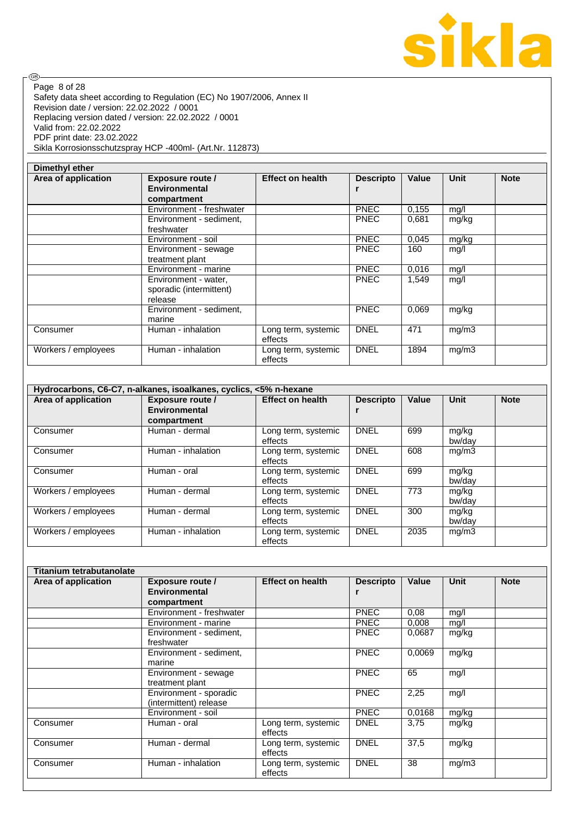

Safety data sheet according to Regulation (EC) No 1907/2006, Annex II Revision date / version: 22.02.2022 / 0001 Replacing version dated / version: 22.02.2022 / 0001 Valid from: 22.02.2022 PDF print date: 23.02.2022 Sikla Korrosionsschutzspray HCP -400ml- (Art.Nr. 112873) Page 8 of 28

| Dimethyl ether      |                                                                |                                |                  |       |             |             |
|---------------------|----------------------------------------------------------------|--------------------------------|------------------|-------|-------------|-------------|
| Area of application | <b>Exposure route /</b><br><b>Environmental</b><br>compartment | <b>Effect on health</b>        | <b>Descripto</b> | Value | <b>Unit</b> | <b>Note</b> |
|                     | Environment - freshwater                                       |                                | <b>PNEC</b>      | 0,155 | mg/l        |             |
|                     | Environment - sediment,<br>freshwater                          |                                | <b>PNEC</b>      | 0,681 | mg/kg       |             |
|                     | Environment - soil                                             |                                | <b>PNEC</b>      | 0,045 | mg/kg       |             |
|                     | Environment - sewage<br>treatment plant                        |                                | <b>PNEC</b>      | 160   | mg/l        |             |
|                     | Environment - marine                                           |                                | <b>PNEC</b>      | 0,016 | mg/l        |             |
|                     | Environment - water,<br>sporadic (intermittent)<br>release     |                                | <b>PNEC</b>      | 1,549 | mg/l        |             |
|                     | Environment - sediment,<br>marine                              |                                | <b>PNEC</b>      | 0,069 | mg/kg       |             |
| Consumer            | Human - inhalation                                             | Long term, systemic<br>effects | <b>DNEL</b>      | 471   | mg/m3       |             |
| Workers / employees | Human - inhalation                                             | Long term, systemic<br>effects | <b>DNEL</b>      | 1894  | mg/m3       |             |

|                     | Hydrocarbons, C6-C7, n-alkanes, isoalkanes, cyclics, <5% n-hexane |                         |                  |       |        |             |
|---------------------|-------------------------------------------------------------------|-------------------------|------------------|-------|--------|-------------|
| Area of application | <b>Exposure route /</b>                                           | <b>Effect on health</b> | <b>Descripto</b> | Value | Unit   | <b>Note</b> |
|                     | Environmental                                                     |                         |                  |       |        |             |
|                     | compartment                                                       |                         |                  |       |        |             |
| Consumer            | Human - dermal                                                    | Long term, systemic     | <b>DNEL</b>      | 699   | mg/kg  |             |
|                     |                                                                   | effects                 |                  |       | bw/day |             |
| Consumer            | Human - inhalation                                                | Long term, systemic     | <b>DNEL</b>      | 608   | mg/m3  |             |
|                     |                                                                   | effects                 |                  |       |        |             |
| Consumer            | Human - oral                                                      | Long term, systemic     | <b>DNEL</b>      | 699   | mg/kg  |             |
|                     |                                                                   | effects                 |                  |       | bw/day |             |
| Workers / employees | Human - dermal                                                    | Long term, systemic     | <b>DNEL</b>      | 773   | mg/kg  |             |
|                     |                                                                   | effects                 |                  |       | bw/dav |             |
| Workers / employees | Human - dermal                                                    | Long term, systemic     | <b>DNEL</b>      | 300   | mg/kg  |             |
|                     |                                                                   | effects                 |                  |       | bw/dav |             |
| Workers / employees | Human - inhalation                                                | Long term, systemic     | <b>DNEL</b>      | 2035  | mg/m3  |             |
|                     |                                                                   | effects                 |                  |       |        |             |

| Titanium tetrabutanolate |                                                  |                                |                  |        |             |             |
|--------------------------|--------------------------------------------------|--------------------------------|------------------|--------|-------------|-------------|
| Area of application      | <b>Exposure route /</b>                          | <b>Effect on health</b>        | <b>Descripto</b> | Value  | <b>Unit</b> | <b>Note</b> |
|                          | Environmental                                    |                                |                  |        |             |             |
|                          | compartment                                      |                                |                  |        |             |             |
|                          | Environment - freshwater                         |                                | <b>PNEC</b>      | 0.08   | mg/l        |             |
|                          | Environment - marine                             |                                | <b>PNEC</b>      | 0.008  | mg/l        |             |
|                          | Environment - sediment,<br>freshwater            |                                | <b>PNEC</b>      | 0.0687 | mg/kg       |             |
|                          | Environment - sediment,<br>marine                |                                | <b>PNEC</b>      | 0.0069 | mg/kg       |             |
|                          | Environment - sewage<br>treatment plant          |                                | <b>PNEC</b>      | 65     | mg/l        |             |
|                          | Environment - sporadic<br>(intermittent) release |                                | <b>PNEC</b>      | 2,25   | mg/l        |             |
|                          | Environment - soil                               |                                | <b>PNEC</b>      | 0,0168 | mg/kg       |             |
| Consumer                 | Human - oral                                     | Long term, systemic<br>effects | <b>DNEL</b>      | 3,75   | mg/kg       |             |
| Consumer                 | Human - dermal                                   | Long term, systemic<br>effects | <b>DNEL</b>      | 37,5   | mg/kg       |             |
| Consumer                 | Human - inhalation                               | Long term, systemic<br>effects | <b>DNEL</b>      | 38     | mg/m3       |             |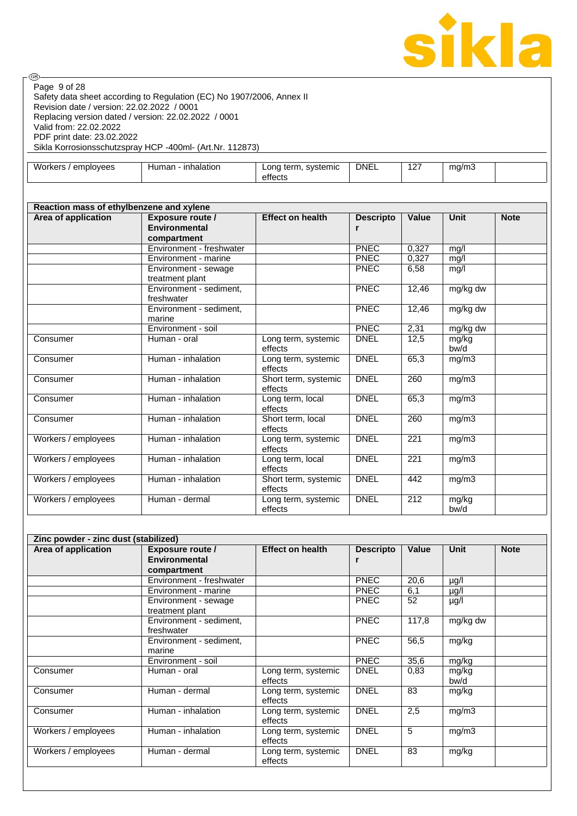

Safety data sheet according to Regulation (EC) No 1907/2006, Annex II Revision date / version: 22.02.2022 / 0001 Replacing version dated / version: 22.02.2022 / 0001 Valid from: 22.02.2022 PDF print date: 23.02.2022 Sikla Korrosionsschutzspray HCP -400ml- (Art.Nr. 112873) Page 9 of 28

| Workers / employees                      | Human - inhalation                                             | Long term, systemic<br>effects  | <b>DNEL</b>           | 127              | mg/m3             |             |
|------------------------------------------|----------------------------------------------------------------|---------------------------------|-----------------------|------------------|-------------------|-------------|
|                                          |                                                                |                                 |                       |                  |                   |             |
| Reaction mass of ethylbenzene and xylene |                                                                |                                 |                       |                  |                   |             |
| Area of application                      | <b>Exposure route /</b><br><b>Environmental</b><br>compartment | <b>Effect on health</b>         | <b>Descripto</b><br>r | Value            | <b>Unit</b>       | <b>Note</b> |
|                                          | Environment - freshwater                                       |                                 | <b>PNEC</b>           | 0,327            | $mg/\overline{I}$ |             |
|                                          | Environment - marine                                           |                                 | PNEC                  | 0,327            | mg/l              |             |
|                                          | Environment - sewage<br>treatment plant                        |                                 | PNEC                  | 6,58             | mg/l              |             |
|                                          | Environment - sediment,<br>freshwater                          |                                 | PNEC                  | 12,46            | mg/kg dw          |             |
|                                          | Environment - sediment,<br>marine                              |                                 | <b>PNEC</b>           | 12,46            | mg/kg dw          |             |
|                                          | Environment - soil                                             |                                 | <b>PNEC</b>           | 2,31             | mg/kg dw          |             |
| Consumer                                 | Human - oral                                                   | Long term, systemic<br>effects  | <b>DNEL</b>           | 12,5             | mg/kg<br>bw/d     |             |
| Consumer                                 | Human - inhalation                                             | Long term, systemic<br>effects  | <b>DNEL</b>           | 65,3             | mg/m3             |             |
| Consumer                                 | Human - inhalation                                             | Short term, systemic<br>effects | <b>DNEL</b>           | 260              | mg/m3             |             |
| Consumer                                 | Human - inhalation                                             | Long term, local<br>effects     | <b>DNEL</b>           | 65,3             | mg/m3             |             |
| Consumer                                 | Human - inhalation                                             | Short term, local<br>effects    | <b>DNEL</b>           | 260              | mg/m3             |             |
| Workers / employees                      | Human - inhalation                                             | Long term, systemic<br>effects  | <b>DNEL</b>           | $\overline{221}$ | mg/m3             |             |
| Workers / employees                      | Human - inhalation                                             | Long term, local<br>effects     | <b>DNEL</b>           | 221              | mg/m3             |             |
| Workers / employees                      | Human - inhalation                                             | Short term, systemic<br>effects | <b>DNEL</b>           | 442              | mg/m3             |             |
| Workers / employees                      | Human - dermal                                                 | Long term, systemic<br>effects  | <b>DNEL</b>           | 212              | mg/kg<br>bw/d     |             |

| Zinc powder - zinc dust (stabilized) |                                       |                                |                  |       |               |             |
|--------------------------------------|---------------------------------------|--------------------------------|------------------|-------|---------------|-------------|
| Area of application                  | <b>Exposure route /</b>               | <b>Effect on health</b>        | <b>Descripto</b> | Value | <b>Unit</b>   | <b>Note</b> |
|                                      | Environmental                         |                                | r                |       |               |             |
|                                      | compartment                           |                                |                  |       |               |             |
|                                      | Environment - freshwater              |                                | <b>PNEC</b>      | 20,6  | µg/l          |             |
|                                      | Environment - marine                  |                                | <b>PNEC</b>      | 6,1   | µg/l          |             |
|                                      | Environment - sewage                  |                                | <b>PNEC</b>      | 52    | µg/l          |             |
|                                      | treatment plant                       |                                |                  |       |               |             |
|                                      | Environment - sediment,<br>freshwater |                                | <b>PNEC</b>      | 117,8 | mg/kg dw      |             |
|                                      | Environment - sediment,<br>marine     |                                | <b>PNEC</b>      | 56,5  | mg/kg         |             |
|                                      | Environment - soil                    |                                | <b>PNEC</b>      | 35,6  | mg/kg         |             |
| Consumer                             | Human - oral                          | Long term, systemic<br>effects | <b>DNEL</b>      | 0,83  | mg/kg<br>bw/d |             |
| Consumer                             | Human - dermal                        | Long term, systemic<br>effects | <b>DNEL</b>      | 83    | mg/kg         |             |
| Consumer                             | Human - inhalation                    | Long term, systemic<br>effects | <b>DNEL</b>      | 2,5   | mg/m3         |             |
| Workers / employees                  | Human - inhalation                    | Long term, systemic<br>effects | <b>DNEL</b>      | 5     | mg/m3         |             |
| Workers / employees                  | Human - dermal                        | Long term, systemic<br>effects | <b>DNEL</b>      | 83    | mg/kg         |             |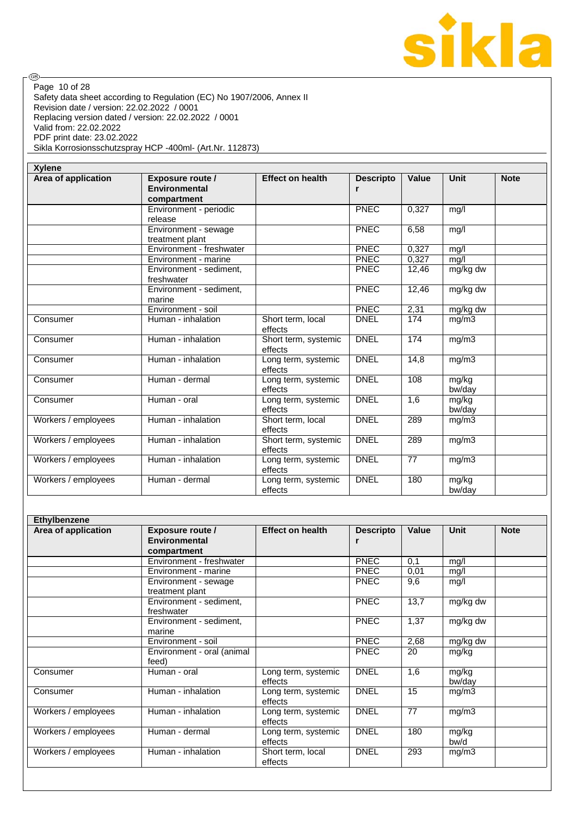

Safety data sheet according to Regulation (EC) No 1907/2006, Annex II Revision date / version: 22.02.2022 / 0001 Replacing version dated / version: 22.02.2022 / 0001 Valid from: 22.02.2022 PDF print date: 23.02.2022 Sikla Korrosionsschutzspray HCP -400ml- (Art.Nr. 112873) Page 10 of 28

| <b>Xylene</b>       |                                                                |                                 |                       |              |                 |             |
|---------------------|----------------------------------------------------------------|---------------------------------|-----------------------|--------------|-----------------|-------------|
| Area of application | <b>Exposure route /</b><br><b>Environmental</b><br>compartment | <b>Effect on health</b>         | <b>Descripto</b><br>r | <b>Value</b> | Unit            | <b>Note</b> |
|                     | Environment - periodic                                         |                                 | <b>PNEC</b>           | 0.327        | mg/l            |             |
|                     | release                                                        |                                 |                       |              |                 |             |
|                     | Environment - sewage                                           |                                 | <b>PNEC</b>           | 6,58         | mg/l            |             |
|                     | treatment plant                                                |                                 |                       |              |                 |             |
|                     | Environment - freshwater                                       |                                 | <b>PNEC</b>           | 0,327        | mg/l            |             |
|                     | Environment - marine                                           |                                 | <b>PNEC</b>           | 0.327        | mg/l            |             |
|                     | Environment - sediment,<br>freshwater                          |                                 | <b>PNEC</b>           | 12,46        | mg/kg dw        |             |
|                     | Environment - sediment,<br>marine                              |                                 | PNEC                  | 12,46        | mg/kg dw        |             |
|                     | Environment - soil                                             |                                 | <b>PNEC</b>           | 2,31         | mg/kg dw        |             |
| Consumer            | Human - inhalation                                             | Short term, local<br>effects    | <b>DNEL</b>           | 174          | mg/m3           |             |
| Consumer            | Human - inhalation                                             | Short term, systemic<br>effects | <b>DNEL</b>           | 174          | mg/m3           |             |
| Consumer            | Human - inhalation                                             | Long term, systemic<br>effects  | <b>DNEL</b>           | 14,8         | mg/m3           |             |
| Consumer            | Human - dermal                                                 | Long term, systemic<br>effects  | <b>DNEL</b>           | 108          | mg/kg<br>bw/day |             |
| Consumer            | Human - oral                                                   | Long term, systemic<br>effects  | <b>DNEL</b>           | 1,6          | mg/kg<br>bw/day |             |
| Workers / employees | Human - inhalation                                             | Short term, local<br>effects    | <b>DNEL</b>           | 289          | mg/m3           |             |
| Workers / employees | Human - inhalation                                             | Short term, systemic<br>effects | <b>DNEL</b>           | 289          | mg/m3           |             |
| Workers / employees | Human - inhalation                                             | Long term, systemic<br>effects  | <b>DNEL</b>           | 77           | mg/m3           |             |
| Workers / employees | Human - dermal                                                 | Long term, systemic<br>effects  | <b>DNEL</b>           | 180          | mg/kg<br>bw/day |             |

| Ethylbenzene        |                                                                |                                |                  |                  |                 |             |
|---------------------|----------------------------------------------------------------|--------------------------------|------------------|------------------|-----------------|-------------|
| Area of application | <b>Exposure route /</b><br><b>Environmental</b><br>compartment | <b>Effect on health</b>        | <b>Descripto</b> | <b>Value</b>     | <b>Unit</b>     | <b>Note</b> |
|                     | Environment - freshwater                                       |                                | <b>PNEC</b>      | 0,1              | mg/l            |             |
|                     | Environment - marine                                           |                                | <b>PNEC</b>      | 0,01             | mg/l            |             |
|                     | Environment - sewage<br>treatment plant                        |                                | <b>PNEC</b>      | 9,6              | mg/l            |             |
|                     | Environment - sediment,<br>freshwater                          |                                | <b>PNEC</b>      | 13,7             | mg/kg dw        |             |
|                     | Environment - sediment,<br>marine                              |                                | <b>PNEC</b>      | 1,37             | mg/kg dw        |             |
|                     | Environment - soil                                             |                                | <b>PNEC</b>      | 2,68             | mg/kg dw        |             |
|                     | Environment - oral (animal<br>feed)                            |                                | <b>PNEC</b>      | 20               | mg/kg           |             |
| Consumer            | Human - oral                                                   | Long term, systemic<br>effects | <b>DNEL</b>      | $\overline{1,6}$ | mg/kg<br>bw/day |             |
| Consumer            | Human - inhalation                                             | Long term, systemic<br>effects | <b>DNEL</b>      | 15               | mg/m3           |             |
| Workers / employees | Human - inhalation                                             | Long term, systemic<br>effects | <b>DNEL</b>      | 77               | mg/m3           |             |
| Workers / employees | Human - dermal                                                 | Long term, systemic<br>effects | <b>DNEL</b>      | 180              | mg/kg<br>bw/d   |             |
| Workers / employees | Human - inhalation                                             | Short term, local<br>effects   | <b>DNEL</b>      | 293              | mg/m3           |             |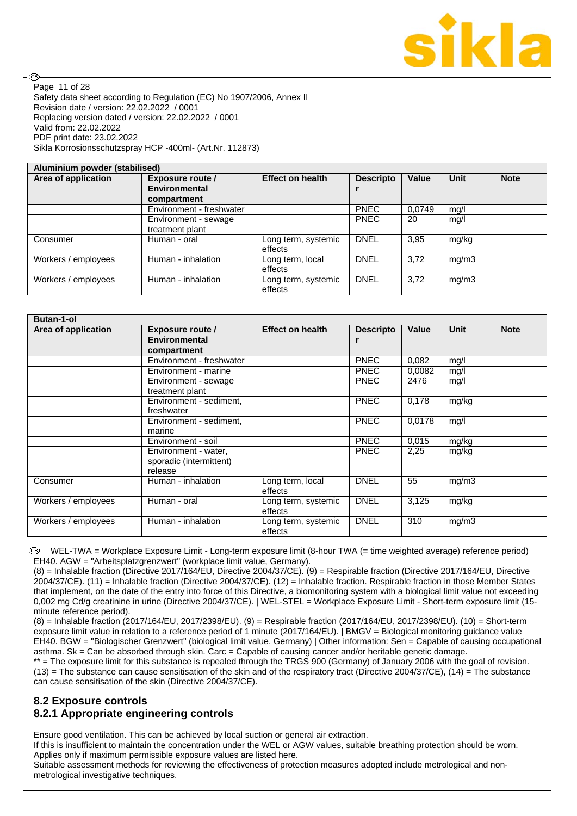

Safety data sheet according to Regulation (EC) No 1907/2006, Annex II Revision date / version: 22.02.2022 / 0001 Replacing version dated / version: 22.02.2022 / 0001 Valid from: 22.02.2022 PDF print date: 23.02.2022 Sikla Korrosionsschutzspray HCP -400ml- (Art.Nr. 112873) Page 11 of 28

**ි** 

| Aluminium powder (stabilised)                                          |                                         |                                |                  |        |       |             |
|------------------------------------------------------------------------|-----------------------------------------|--------------------------------|------------------|--------|-------|-------------|
| Area of application<br><b>Exposure route /</b><br><b>Environmental</b> |                                         | <b>Effect on health</b>        | <b>Descripto</b> | Value  | Unit  | <b>Note</b> |
|                                                                        | compartment                             |                                |                  |        |       |             |
|                                                                        | Environment - freshwater                |                                | <b>PNEC</b>      | 0.0749 | mg/l  |             |
|                                                                        | Environment - sewage<br>treatment plant |                                | <b>PNEC</b>      | 20     | mq/l  |             |
| Consumer                                                               | Human - oral                            | Long term, systemic<br>effects | <b>DNEL</b>      | 3,95   | mg/kg |             |
| Workers / employees                                                    | Human - inhalation                      | Long term, local<br>effects    | <b>DNEL</b>      | 3.72   | mg/m3 |             |
| Workers / employees                                                    | Human - inhalation                      | Long term, systemic<br>effects | <b>DNEL</b>      | 3.72   | mg/m3 |             |

| <b>Butan-1-ol</b>   |                                                            |                                |                  |              |       |             |
|---------------------|------------------------------------------------------------|--------------------------------|------------------|--------------|-------|-------------|
| Area of application | <b>Exposure route /</b>                                    | <b>Effect on health</b>        | <b>Descripto</b> | <b>Value</b> | Unit  | <b>Note</b> |
|                     | <b>Environmental</b>                                       |                                | r                |              |       |             |
|                     | compartment                                                |                                |                  |              |       |             |
|                     | Environment - freshwater                                   |                                | <b>PNEC</b>      | 0,082        | mq/l  |             |
|                     | Environment - marine                                       |                                | <b>PNEC</b>      | 0.0082       | mg/l  |             |
|                     | Environment - sewage<br>treatment plant                    |                                | <b>PNEC</b>      | 2476         | mg/l  |             |
|                     | Environment - sediment,<br>freshwater                      |                                | <b>PNEC</b>      | 0,178        | mg/kg |             |
|                     | Environment - sediment,<br>marine                          |                                | <b>PNEC</b>      | 0,0178       | mg/l  |             |
|                     | Environment - soil                                         |                                | <b>PNEC</b>      | 0,015        | mg/kg |             |
|                     | Environment - water,<br>sporadic (intermittent)<br>release |                                | <b>PNEC</b>      | 2,25         | mg/kg |             |
| Consumer            | Human - inhalation                                         | Long term, local<br>effects    | <b>DNEL</b>      | 55           | mg/m3 |             |
| Workers / employees | Human - oral                                               | Long term, systemic<br>effects | <b>DNEL</b>      | 3,125        | mg/kg |             |
| Workers / employees | Human - inhalation                                         | Long term, systemic<br>effects | <b>DNEL</b>      | 310          | mg/m3 |             |

 WEL-TWA = Workplace Exposure Limit - Long-term exposure limit (8-hour TWA (= time weighted average) reference period) EH40. AGW = "Arbeitsplatzgrenzwert" (workplace limit value, Germany).

(8) = Inhalable fraction (Directive 2017/164/EU, Directive 2004/37/CE). (9) = Respirable fraction (Directive 2017/164/EU, Directive 2004/37/CE). (11) = Inhalable fraction (Directive 2004/37/CE). (12) = Inhalable fraction. Respirable fraction in those Member States that implement, on the date of the entry into force of this Directive, a biomonitoring system with a biological limit value not exceeding 0,002 mg Cd/g creatinine in urine (Directive 2004/37/CE). | WEL-STEL = Workplace Exposure Limit - Short-term exposure limit (15 minute reference period).

(8) = Inhalable fraction (2017/164/EU, 2017/2398/EU). (9) = Respirable fraction (2017/164/EU, 2017/2398/EU). (10) = Short-term exposure limit value in relation to a reference period of 1 minute (2017/164/EU). | BMGV = Biological monitoring guidance value EH40. BGW = "Biologischer Grenzwert" (biological limit value, Germany) | Other information: Sen = Capable of causing occupational asthma. Sk = Can be absorbed through skin. Carc = Capable of causing cancer and/or heritable genetic damage.

\*\* = The exposure limit for this substance is repealed through the TRGS 900 (Germany) of January 2006 with the goal of revision. (13) = The substance can cause sensitisation of the skin and of the respiratory tract (Directive 2004/37/CE), (14) = The substance can cause sensitisation of the skin (Directive 2004/37/CE).

## **8.2 Exposure controls 8.2.1 Appropriate engineering controls**

Ensure good ventilation. This can be achieved by local suction or general air extraction.

If this is insufficient to maintain the concentration under the WEL or AGW values, suitable breathing protection should be worn. Applies only if maximum permissible exposure values are listed here.

Suitable assessment methods for reviewing the effectiveness of protection measures adopted include metrological and nonmetrological investigative techniques.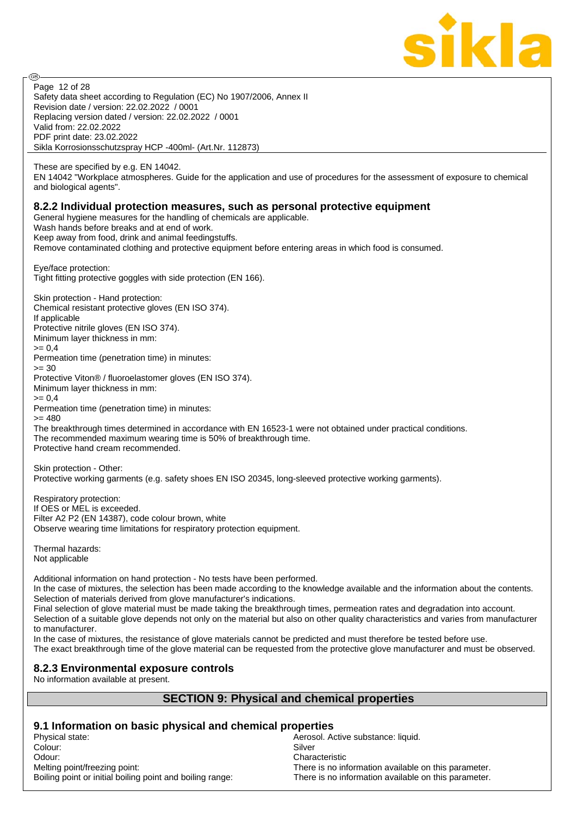

Safety data sheet according to Regulation (EC) No 1907/2006, Annex II Revision date / version: 22.02.2022 / 0001 Replacing version dated / version: 22.02.2022 / 0001 Valid from: 22.02.2022 PDF print date: 23.02.2022 Sikla Korrosionsschutzspray HCP -400ml- (Art.Nr. 112873) Page 12 of 28

These are specified by e.g. EN 14042.

**ි** 

EN 14042 "Workplace atmospheres. Guide for the application and use of procedures for the assessment of exposure to chemical and biological agents".

#### **8.2.2 Individual protection measures, such as personal protective equipment**

General hygiene measures for the handling of chemicals are applicable.

Wash hands before breaks and at end of work.

Keep away from food, drink and animal feedingstuffs.

Remove contaminated clothing and protective equipment before entering areas in which food is consumed.

Eye/face protection: Tight fitting protective goggles with side protection (EN 166).

Skin protection - Hand protection: Chemical resistant protective gloves (EN ISO 374). If applicable Protective nitrile gloves (EN ISO 374). Minimum layer thickness in mm:  $= 0.4$ Permeation time (penetration time) in minutes:  $>= 30$ Protective Viton® / fluoroelastomer gloves (EN ISO 374). Minimum layer thickness in mm:  $= 0.4$ Permeation time (penetration time) in minutes:  $= 480$ The breakthrough times determined in accordance with EN 16523-1 were not obtained under practical conditions. The recommended maximum wearing time is 50% of breakthrough time. Protective hand cream recommended.

Skin protection - Other: Protective working garments (e.g. safety shoes EN ISO 20345, long-sleeved protective working garments).

Respiratory protection: If OES or MEL is exceeded. Filter A2 P2 (EN 14387), code colour brown, white Observe wearing time limitations for respiratory protection equipment.

Thermal hazards: Not applicable

Additional information on hand protection - No tests have been performed.

In the case of mixtures, the selection has been made according to the knowledge available and the information about the contents. Selection of materials derived from glove manufacturer's indications.

Final selection of glove material must be made taking the breakthrough times, permeation rates and degradation into account. Selection of a suitable glove depends not only on the material but also on other quality characteristics and varies from manufacturer to manufacturer.

In the case of mixtures, the resistance of glove materials cannot be predicted and must therefore be tested before use. The exact breakthrough time of the glove material can be requested from the protective glove manufacturer and must be observed.

## **8.2.3 Environmental exposure controls**

No information available at present.

## **SECTION 9: Physical and chemical properties**

# **9.1 Information on basic physical and chemical properties**

Physical state: <br>Colour: Colour: Aerosol. Active substance: liquid.<br>Silver Silver Colour: Silver Solour: Silver Silver Silver Silver Silver Silver Silver Silver Silver Odour: Characteristic Melting point/freezing point: There is no information available on this parameter. Boiling point or initial boiling point and boiling range: There is no information available on this parameter.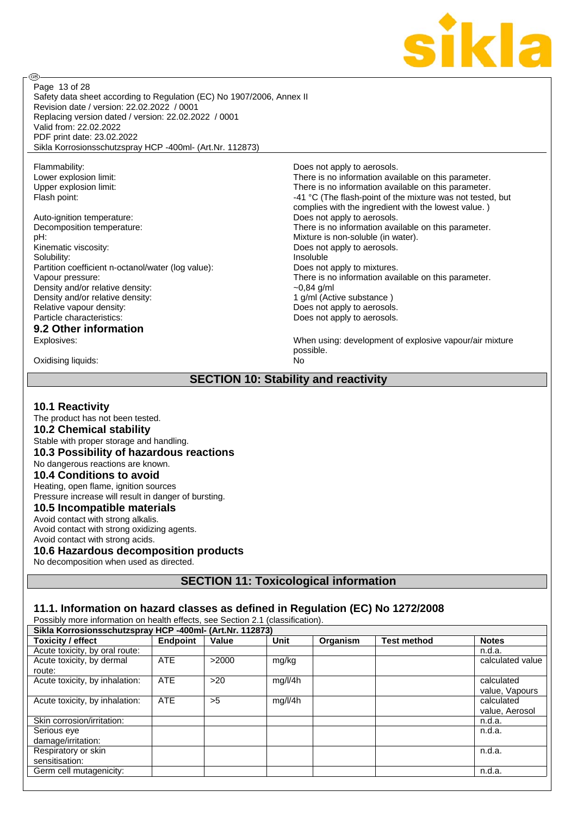

Safety data sheet according to Regulation (EC) No 1907/2006, Annex II Revision date / version: 22.02.2022 / 0001 Replacing version dated / version: 22.02.2022 / 0001 Valid from: 22.02.2022 PDF print date: 23.02.2022 Sikla Korrosionsschutzspray HCP -400ml- (Art.Nr. 112873) Page 13 of 28

Flammability:<br>
Lower explosion limit:<br>
Lower explosion limit:<br>  $\frac{1}{2}$  Does not apply to aerosols.

**ි** 

Auto-ignition temperature: Does not apply to aerosols. pH: Mixture is non-soluble (in water). Kinematic viscosity:  $\Box$  Does not apply to aerosols. Solubility:<br>
Partition coefficient n-octanol/water (log value):<br>
Does not apply to mixtures. Partition coefficient n-octanol/water (log value): Density and/or relative density:  $\sim 0.84$  g/ml Density and/or relative density: 1 g/ml (Active substance ) Relative vapour density:  $\overline{ }$   $\overline{ }$   $\overline{ }$   $\overline{ }$   $\overline{ }$   $\overline{ }$   $\overline{ }$   $\overline{ }$   $\overline{ }$   $\overline{ }$   $\overline{ }$   $\overline{ }$   $\overline{ }$   $\overline{ }$   $\overline{ }$   $\overline{ }$   $\overline{ }$   $\overline{ }$   $\overline{ }$   $\overline{ }$   $\overline{ }$   $\overline{ }$   $\overline{ }$   $\overline{ }$   $\overline{$ Particle characteristics:  $\qquad \qquad$  Does not apply to aerosols.

# **9.2 Other information**

Oxidising liquids: No

There is no information available on this parameter. Upper explosion limit: Upper explosion limit: There is no information available on this parameter. Flash point: Flash point:  $-41 °C$  (The flash-point of the mixture was not tested, but complies with the ingredient with the lowest value. ) Decomposition temperature: There is no information available on this parameter. Vapour pressure: There is no information available on this parameter.

Explosives: When using: development of explosive vapour/air mixture possible.

## **SECTION 10: Stability and reactivity**

#### **10.1 Reactivity**

The product has not been tested.

#### **10.2 Chemical stability**

Stable with proper storage and handling.

#### **10.3 Possibility of hazardous reactions**

No dangerous reactions are known.

#### **10.4 Conditions to avoid**

Heating, open flame, ignition sources

## Pressure increase will result in danger of bursting.

**10.5 Incompatible materials** Avoid contact with strong alkalis.

Avoid contact with strong oxidizing agents. Avoid contact with strong acids.

## **10.6 Hazardous decomposition products**

No decomposition when used as directed.

## **SECTION 11: Toxicological information**

#### **11.1. Information on hazard classes as defined in Regulation (EC) No 1272/2008**

| Possibly more information on nealth effects, see Section 2.1 (classification). |                 |       |         |          |                    |                  |  |  |
|--------------------------------------------------------------------------------|-----------------|-------|---------|----------|--------------------|------------------|--|--|
| Sikla Korrosionsschutzspray HCP -400ml- (Art.Nr. 112873)                       |                 |       |         |          |                    |                  |  |  |
| <b>Toxicity / effect</b>                                                       | <b>Endpoint</b> | Value | Unit    | Organism | <b>Test method</b> | <b>Notes</b>     |  |  |
| Acute toxicity, by oral route:                                                 |                 |       |         |          |                    | n.d.a.           |  |  |
| Acute toxicity, by dermal                                                      | <b>ATE</b>      | >2000 | mg/kg   |          |                    | calculated value |  |  |
| route:                                                                         |                 |       |         |          |                    |                  |  |  |
| Acute toxicity, by inhalation:                                                 | <b>ATE</b>      | >20   | mg/l/4h |          |                    | calculated       |  |  |
|                                                                                |                 |       |         |          |                    | value, Vapours   |  |  |
| Acute toxicity, by inhalation:                                                 | <b>ATE</b>      | >5    | mg/l/4h |          |                    | calculated       |  |  |
|                                                                                |                 |       |         |          |                    | value, Aerosol   |  |  |
| Skin corrosion/irritation:                                                     |                 |       |         |          |                    | n.d.a.           |  |  |
| Serious eve                                                                    |                 |       |         |          |                    | n.d.a.           |  |  |
| damage/irritation:                                                             |                 |       |         |          |                    |                  |  |  |
| Respiratory or skin                                                            |                 |       |         |          |                    | n.d.a.           |  |  |
| sensitisation:                                                                 |                 |       |         |          |                    |                  |  |  |
| Germ cell mutagenicity:                                                        |                 |       |         |          |                    | n.d.a.           |  |  |

Possibly more information on health effects, see Section 2.1 (classification).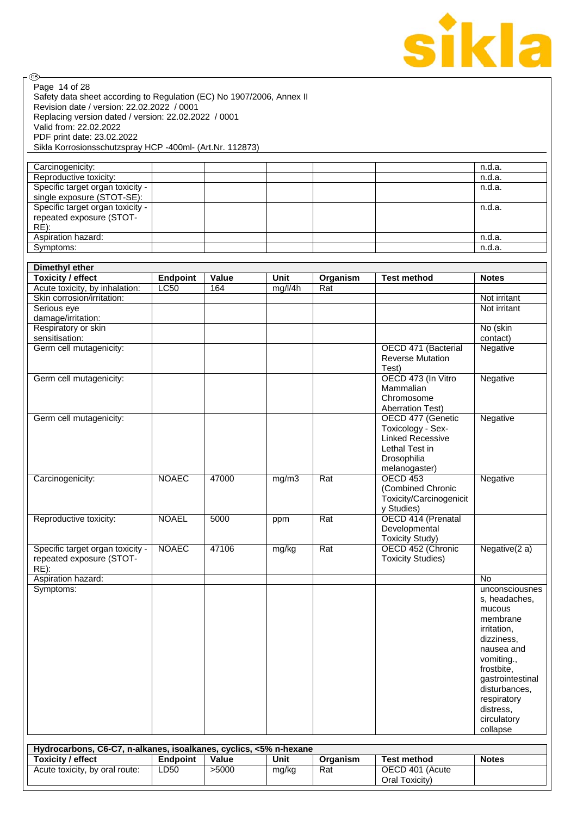

| @).                                                                                    |                 |       |             |          |                                     |                                 |
|----------------------------------------------------------------------------------------|-----------------|-------|-------------|----------|-------------------------------------|---------------------------------|
| Page 14 of 28<br>Safety data sheet according to Regulation (EC) No 1907/2006, Annex II |                 |       |             |          |                                     |                                 |
| Revision date / version: 22.02.2022 / 0001                                             |                 |       |             |          |                                     |                                 |
| Replacing version dated / version: 22.02.2022 / 0001                                   |                 |       |             |          |                                     |                                 |
| Valid from: 22.02.2022                                                                 |                 |       |             |          |                                     |                                 |
| PDF print date: 23.02.2022                                                             |                 |       |             |          |                                     |                                 |
| Sikla Korrosionsschutzspray HCP -400ml- (Art.Nr. 112873)                               |                 |       |             |          |                                     |                                 |
|                                                                                        |                 |       |             |          |                                     |                                 |
| Carcinogenicity:<br>Reproductive toxicity:                                             |                 |       |             |          |                                     | n.d.a.<br>n.d.a.                |
| Specific target organ toxicity -                                                       |                 |       |             |          |                                     | n.d.a.                          |
| single exposure (STOT-SE):                                                             |                 |       |             |          |                                     |                                 |
| Specific target organ toxicity -                                                       |                 |       |             |          |                                     | n.d.a.                          |
| repeated exposure (STOT-                                                               |                 |       |             |          |                                     |                                 |
| RE):                                                                                   |                 |       |             |          |                                     | n.d.a.                          |
| Aspiration hazard:<br>Symptoms:                                                        |                 |       |             |          |                                     | n.d.a.                          |
|                                                                                        |                 |       |             |          |                                     |                                 |
| <b>Dimethyl ether</b>                                                                  |                 |       |             |          |                                     |                                 |
| <b>Toxicity / effect</b>                                                               | <b>Endpoint</b> | Value | <b>Unit</b> | Organism | <b>Test method</b>                  | <b>Notes</b>                    |
| Acute toxicity, by inhalation:                                                         | <b>LC50</b>     | 164   | mg/l/4h     | Rat      |                                     |                                 |
| Skin corrosion/irritation:                                                             |                 |       |             |          |                                     | Not irritant                    |
| Serious eye                                                                            |                 |       |             |          |                                     | Not irritant                    |
| damage/irritation:<br>Respiratory or skin                                              |                 |       |             |          |                                     | No (skin                        |
| sensitisation:                                                                         |                 |       |             |          |                                     | contact)                        |
| Germ cell mutagenicity:                                                                |                 |       |             |          | OECD 471 (Bacterial                 | Negative                        |
|                                                                                        |                 |       |             |          | <b>Reverse Mutation</b>             |                                 |
|                                                                                        |                 |       |             |          | Test)                               |                                 |
| Germ cell mutagenicity:                                                                |                 |       |             |          | OECD 473 (In Vitro<br>Mammalian     | Negative                        |
|                                                                                        |                 |       |             |          | Chromosome                          |                                 |
|                                                                                        |                 |       |             |          | <b>Aberration Test)</b>             |                                 |
| Germ cell mutagenicity:                                                                |                 |       |             |          | OECD 477 (Genetic                   | Negative                        |
|                                                                                        |                 |       |             |          | Toxicology - Sex-                   |                                 |
|                                                                                        |                 |       |             |          | <b>Linked Recessive</b>             |                                 |
|                                                                                        |                 |       |             |          | Lethal Test in<br>Drosophilia       |                                 |
|                                                                                        |                 |       |             |          | melanogaster)                       |                                 |
| Carcinogenicity:                                                                       | <b>NOAEC</b>    | 47000 | mg/m3       | Rat      | <b>OECD 453</b>                     | Negative                        |
|                                                                                        |                 |       |             |          | (Combined Chronic                   |                                 |
|                                                                                        |                 |       |             |          | Toxicity/Carcinogenicit             |                                 |
|                                                                                        |                 |       |             |          | y Studies)                          |                                 |
| Reproductive toxicity:                                                                 | <b>NOAEL</b>    | 5000  | ppm         | Rat      | OECD 414 (Prenatal<br>Developmental |                                 |
|                                                                                        |                 |       |             |          | <b>Toxicity Study)</b>              |                                 |
| Specific target organ toxicity -                                                       | <b>NOAEC</b>    | 47106 | mg/kg       | Rat      | OECD 452 (Chronic                   | Negative(2 a)                   |
| repeated exposure (STOT-                                                               |                 |       |             |          | <b>Toxicity Studies)</b>            |                                 |
| $RE)$ :                                                                                |                 |       |             |          |                                     |                                 |
| Aspiration hazard:                                                                     |                 |       |             |          |                                     | <b>No</b>                       |
| Symptoms:                                                                              |                 |       |             |          |                                     | unconsciousnes<br>s, headaches, |
|                                                                                        |                 |       |             |          |                                     | mucous                          |
|                                                                                        |                 |       |             |          |                                     | membrane                        |
|                                                                                        |                 |       |             |          |                                     | irritation,                     |
|                                                                                        |                 |       |             |          |                                     | dizziness,                      |
|                                                                                        |                 |       |             |          |                                     | nausea and                      |
|                                                                                        |                 |       |             |          |                                     | vomiting.,<br>frostbite,        |
|                                                                                        |                 |       |             |          |                                     | gastrointestinal                |
|                                                                                        |                 |       |             |          |                                     | disturbances,                   |
|                                                                                        |                 |       |             |          |                                     | respiratory                     |
|                                                                                        |                 |       |             |          |                                     | distress,                       |
|                                                                                        |                 |       |             |          |                                     | circulatory<br>collapse         |
|                                                                                        |                 |       |             |          |                                     |                                 |
| Hydrocarbons, C6-C7, n-alkanes, isoalkanes, cyclics, <5% n-hexane                      |                 |       |             |          |                                     |                                 |
| <b>Toxicity / effect</b>                                                               | Endpoint        | Value | Unit        | Organism | <b>Test method</b>                  | <b>Notes</b>                    |
| Acute toxicity, by oral route:                                                         | LD50            | >5000 | mg/kg       | Rat      | OECD 401 (Acute<br>Oral Toxicity)   |                                 |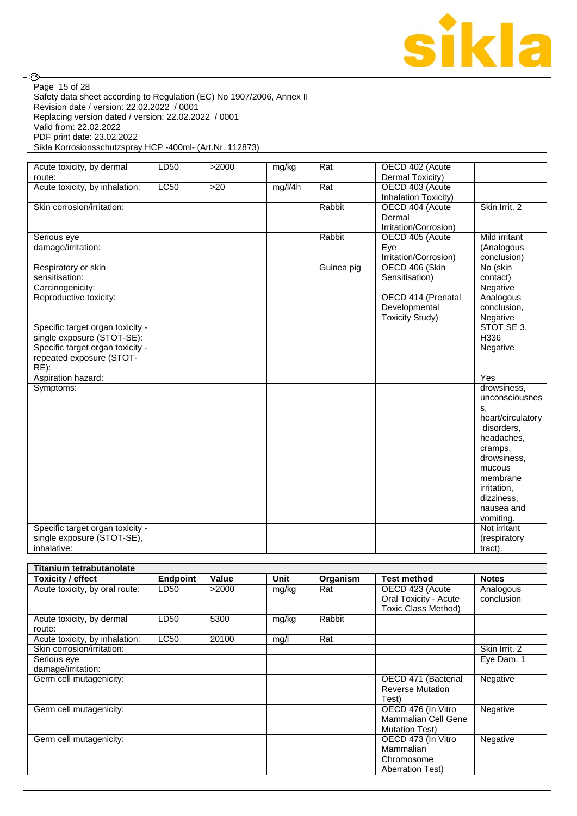

| ை                                                                     |                 |       |         |                  |                              |                   |
|-----------------------------------------------------------------------|-----------------|-------|---------|------------------|------------------------------|-------------------|
| Page 15 of 28                                                         |                 |       |         |                  |                              |                   |
| Safety data sheet according to Regulation (EC) No 1907/2006, Annex II |                 |       |         |                  |                              |                   |
| Revision date / version: 22.02.2022 / 0001                            |                 |       |         |                  |                              |                   |
| Replacing version dated / version: 22.02.2022 / 0001                  |                 |       |         |                  |                              |                   |
| Valid from: 22.02.2022                                                |                 |       |         |                  |                              |                   |
| PDF print date: 23.02.2022                                            |                 |       |         |                  |                              |                   |
| Sikla Korrosionsschutzspray HCP -400ml- (Art.Nr. 112873)              |                 |       |         |                  |                              |                   |
|                                                                       |                 |       |         |                  |                              |                   |
| Acute toxicity, by dermal                                             | LD50            | >2000 | mg/kg   | Rat              | OECD 402 (Acute              |                   |
| route:                                                                |                 |       |         |                  | Dermal Toxicity)             |                   |
| Acute toxicity, by inhalation:                                        | <b>LC50</b>     | >20   | mg/l/4h | Rat              | OECD 403 (Acute              |                   |
|                                                                       |                 |       |         | Rabbit           | Inhalation Toxicity)         | Skin Irrit. 2     |
| Skin corrosion/irritation:                                            |                 |       |         |                  | OECD 404 (Acute<br>Dermal    |                   |
|                                                                       |                 |       |         |                  | Irritation/Corrosion)        |                   |
| Serious eye                                                           |                 |       |         | Rabbit           | OECD 405 (Acute              | Mild irritant     |
| damage/irritation:                                                    |                 |       |         |                  | Eve                          | (Analogous        |
|                                                                       |                 |       |         |                  | Irritation/Corrosion)        | conclusion)       |
| Respiratory or skin                                                   |                 |       |         | Guinea pig       | OECD 406 (Skin               | No (skin          |
| sensitisation:                                                        |                 |       |         |                  | Sensitisation)               | contact)          |
| Carcinogenicity:                                                      |                 |       |         |                  |                              | Negative          |
| Reproductive toxicity:                                                |                 |       |         |                  | OECD 414 (Prenatal           | Analogous         |
|                                                                       |                 |       |         |                  | Developmental                | conclusion,       |
|                                                                       |                 |       |         |                  | <b>Toxicity Study)</b>       | Negative          |
| Specific target organ toxicity -                                      |                 |       |         |                  |                              | STOT SE 3,        |
| single exposure (STOT-SE):                                            |                 |       |         |                  |                              | H336              |
| Specific target organ toxicity -                                      |                 |       |         |                  |                              | Negative          |
| repeated exposure (STOT-                                              |                 |       |         |                  |                              |                   |
| $RE)$ :                                                               |                 |       |         |                  |                              |                   |
| Aspiration hazard:                                                    |                 |       |         |                  |                              | Yes               |
| Symptoms:                                                             |                 |       |         |                  |                              | drowsiness,       |
|                                                                       |                 |       |         |                  |                              | unconsciousnes    |
|                                                                       |                 |       |         |                  |                              | s,                |
|                                                                       |                 |       |         |                  |                              | heart/circulatory |
|                                                                       |                 |       |         |                  |                              | disorders,        |
|                                                                       |                 |       |         |                  |                              | headaches,        |
|                                                                       |                 |       |         |                  |                              | cramps,           |
|                                                                       |                 |       |         |                  |                              | drowsiness,       |
|                                                                       |                 |       |         |                  |                              | mucous            |
|                                                                       |                 |       |         |                  |                              | membrane          |
|                                                                       |                 |       |         |                  |                              | irritation,       |
|                                                                       |                 |       |         |                  |                              | dizziness,        |
|                                                                       |                 |       |         |                  |                              | nausea and        |
|                                                                       |                 |       |         |                  |                              | vomiting.         |
| Specific target organ toxicity -                                      |                 |       |         |                  |                              | Not irritant      |
| single exposure (STOT-SE),                                            |                 |       |         |                  |                              | (respiratory      |
| inhalative:                                                           |                 |       |         |                  |                              | tract).           |
|                                                                       |                 |       |         |                  |                              |                   |
| Titanium tetrabutanolate                                              |                 |       |         |                  |                              |                   |
| <b>Toxicity / effect</b>                                              | <b>Endpoint</b> | Value | Unit    | Organism         | <b>Test method</b>           | <b>Notes</b>      |
| Acute toxicity, by oral route:                                        | LD50            | >2000 | mg/kg   | Rat              | OECD 423 (Acute              | Analogous         |
|                                                                       |                 |       |         |                  | <b>Oral Toxicity - Acute</b> | conclusion        |
| Acute toxicity, by dermal                                             |                 | 5300  |         | Rabbit           | <b>Toxic Class Method)</b>   |                   |
|                                                                       | LD50            |       | mg/kg   |                  |                              |                   |
| route:<br>Acute toxicity, by inhalation:                              | <b>LC50</b>     | 20100 |         | $\overline{Rat}$ |                              |                   |
| Skin corrosion/irritation:                                            |                 |       | mg/l    |                  |                              | Skin Irrit. 2     |
| Serious eye                                                           |                 |       |         |                  |                              | Eye Dam. 1        |
| damage/irritation:                                                    |                 |       |         |                  |                              |                   |
| Germ cell mutagenicity:                                               |                 |       |         |                  | OECD 471 (Bacterial          | Negative          |
|                                                                       |                 |       |         |                  |                              |                   |

| Serious eve             |  |                         | Eve Dam. |
|-------------------------|--|-------------------------|----------|
| damage/irritation:      |  |                         |          |
| Germ cell mutagenicity: |  | OECD 471 (Bacterial     | Negative |
|                         |  | <b>Reverse Mutation</b> |          |
|                         |  | Test)                   |          |
| Germ cell mutagenicity: |  | OECD 476 (In Vitro      | Negative |
|                         |  | Mammalian Cell Gene     |          |
|                         |  | <b>Mutation Test)</b>   |          |
| Germ cell mutagenicity: |  | OECD 473 (In Vitro      | Negative |
|                         |  | Mammalian               |          |
|                         |  | Chromosome              |          |
|                         |  | <b>Aberration Test)</b> |          |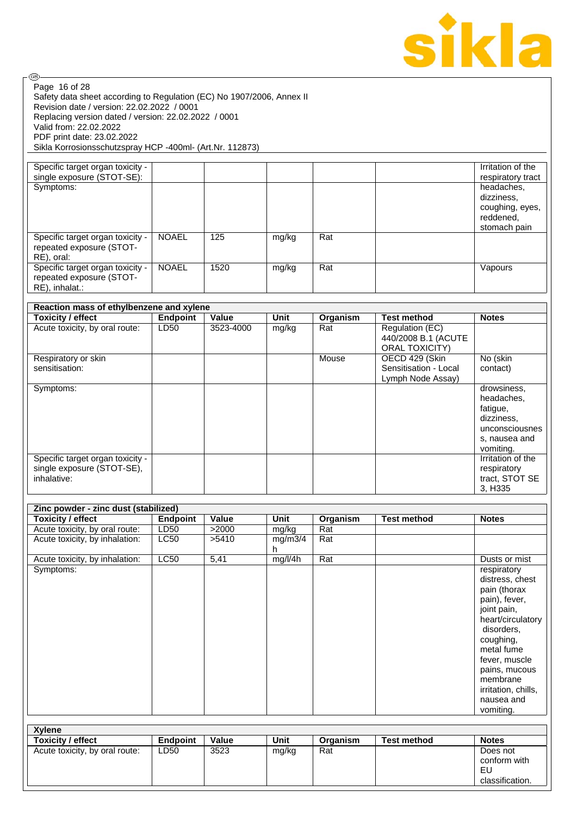

| (GB)                                                                                                                                                                     |                 |           |              |          |                                                              |                                                                                                     |
|--------------------------------------------------------------------------------------------------------------------------------------------------------------------------|-----------------|-----------|--------------|----------|--------------------------------------------------------------|-----------------------------------------------------------------------------------------------------|
| Page 16 of 28<br>Safety data sheet according to Regulation (EC) No 1907/2006, Annex II<br>Revision date / version: 22.02.2022 / 0001                                     |                 |           |              |          |                                                              |                                                                                                     |
| Replacing version dated / version: 22.02.2022 / 0001<br>Valid from: 22.02.2022<br>PDF print date: 23.02.2022<br>Sikla Korrosionsschutzspray HCP -400ml- (Art.Nr. 112873) |                 |           |              |          |                                                              |                                                                                                     |
| Specific target organ toxicity -                                                                                                                                         |                 |           |              |          |                                                              | Irritation of the                                                                                   |
| single exposure (STOT-SE):<br>Symptoms:                                                                                                                                  |                 |           |              |          |                                                              | respiratory tract<br>headaches,                                                                     |
|                                                                                                                                                                          |                 |           |              |          |                                                              | dizziness,<br>coughing, eyes,<br>reddened,<br>stomach pain                                          |
| Specific target organ toxicity -<br>repeated exposure (STOT-<br>RE), oral:                                                                                               | <b>NOAEL</b>    | 125       | mg/kg        | Rat      |                                                              |                                                                                                     |
| Specific target organ toxicity -<br>repeated exposure (STOT-<br>RE), inhalat.:                                                                                           | <b>NOAEL</b>    | 1520      | mg/kg        | Rat      |                                                              | Vapours                                                                                             |
| Reaction mass of ethylbenzene and xylene                                                                                                                                 |                 |           |              |          |                                                              |                                                                                                     |
| <b>Toxicity / effect</b>                                                                                                                                                 | Endpoint        | Value     | <b>Unit</b>  | Organism | <b>Test method</b>                                           | <b>Notes</b>                                                                                        |
| Acute toxicity, by oral route:                                                                                                                                           | LD50            | 3523-4000 | mg/kg        | Rat      | Regulation (EC)<br>440/2008 B.1 (ACUTE<br>ORAL TOXICITY)     |                                                                                                     |
| Respiratory or skin<br>sensitisation:                                                                                                                                    |                 |           |              | Mouse    | OECD 429 (Skin<br>Sensitisation - Local<br>Lymph Node Assay) | No (skin<br>contact)                                                                                |
| Symptoms:                                                                                                                                                                |                 |           |              |          |                                                              | drowsiness,<br>headaches,<br>fatigue,<br>dizziness,<br>unconsciousnes<br>s, nausea and<br>vomiting. |
| Specific target organ toxicity -<br>single exposure (STOT-SE),<br>inhalative:                                                                                            |                 |           |              |          |                                                              | Irritation of the<br>respiratory<br>tract, STOT SE<br>3, H335                                       |
| Zinc powder - zinc dust (stabilized)                                                                                                                                     |                 |           |              |          |                                                              |                                                                                                     |
| <b>Toxicity / effect</b>                                                                                                                                                 | <b>Endpoint</b> | Value     | Unit         | Organism | <b>Test method</b>                                           | <b>Notes</b>                                                                                        |
| Acute toxicity, by oral route:                                                                                                                                           | LD50            | >2000     | mg/kg        | Rat      |                                                              |                                                                                                     |
| Acute toxicity, by inhalation:                                                                                                                                           | <b>LC50</b>     | >5410     | mg/m3/4<br>h | Rat      |                                                              |                                                                                                     |
| Acute toxicity, by inhalation:                                                                                                                                           | LC50            | 5,41      | mg/l/4h      | Rat      |                                                              | Dusts or mist                                                                                       |
| Symptoms:                                                                                                                                                                |                 |           |              |          |                                                              | respiratory<br>distress, chest<br>pain (thorax                                                      |
|                                                                                                                                                                          |                 |           |              |          |                                                              | pain), fever,<br>joint pain,<br>heart/circulatory                                                   |
|                                                                                                                                                                          |                 |           |              |          |                                                              | disorders,<br>coughing,                                                                             |
|                                                                                                                                                                          |                 |           |              |          |                                                              | metal fume<br>fever, muscle<br>pains, mucous                                                        |
|                                                                                                                                                                          |                 |           |              |          |                                                              | membrane<br>irritation, chills,                                                                     |
|                                                                                                                                                                          |                 |           |              |          |                                                              | nausea and<br>vomiting.                                                                             |
|                                                                                                                                                                          |                 |           |              |          |                                                              |                                                                                                     |

| <b>Xvlene</b>                  |                 |       |       |          |                    |                                                   |
|--------------------------------|-----------------|-------|-------|----------|--------------------|---------------------------------------------------|
| <b>Toxicity / effect</b>       | <b>Endpoint</b> | Value | Unit  | Organism | <b>Test method</b> | <b>Notes</b>                                      |
| Acute toxicity, by oral route: | LD50            | 3523  | mg/kg | Rat      |                    | Does not<br>conform with<br>EU<br>classification. |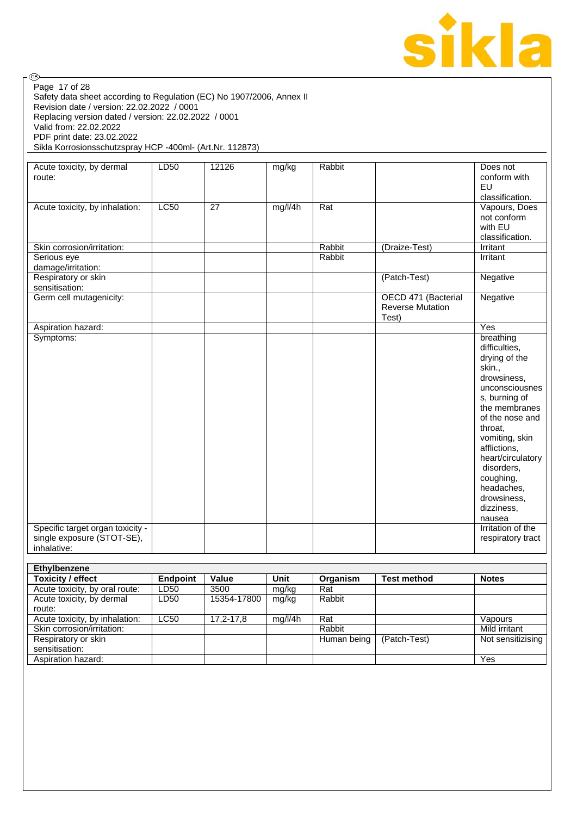

| Page 17 of 28<br>Safety data sheet according to Regulation (EC) No 1907/2006, Annex II |                 |       |         |          |                         |                                |
|----------------------------------------------------------------------------------------|-----------------|-------|---------|----------|-------------------------|--------------------------------|
| Revision date / version: 22.02.2022 / 0001                                             |                 |       |         |          |                         |                                |
| Replacing version dated / version: 22.02.2022 / 0001                                   |                 |       |         |          |                         |                                |
| Valid from: 22.02.2022                                                                 |                 |       |         |          |                         |                                |
| PDF print date: 23.02.2022                                                             |                 |       |         |          |                         |                                |
| Sikla Korrosionsschutzspray HCP -400ml- (Art.Nr. 112873)                               |                 |       |         |          |                         |                                |
|                                                                                        |                 |       |         |          |                         |                                |
| Acute toxicity, by dermal<br>route:                                                    | LD50            | 12126 | mg/kg   | Rabbit   |                         | Does not<br>conform with       |
|                                                                                        |                 |       |         |          |                         | EU                             |
|                                                                                        |                 |       |         |          |                         | classification.                |
| Acute toxicity, by inhalation:                                                         | LC50            | 27    | mg/l/4h | Rat      |                         | Vapours, Does                  |
|                                                                                        |                 |       |         |          |                         | not conform                    |
|                                                                                        |                 |       |         |          |                         | with EU                        |
|                                                                                        |                 |       |         |          |                         | classification.                |
| Skin corrosion/irritation:                                                             |                 |       |         | Rabbit   | (Draize-Test)           | Irritant                       |
| Serious eye                                                                            |                 |       |         | Rabbit   |                         | Irritant                       |
| damage/irritation:                                                                     |                 |       |         |          |                         |                                |
| Respiratory or skin                                                                    |                 |       |         |          | (Patch-Test)            | Negative                       |
| sensitisation:                                                                         |                 |       |         |          |                         |                                |
| Germ cell mutagenicity:                                                                |                 |       |         |          | OECD 471 (Bacterial     | Negative                       |
|                                                                                        |                 |       |         |          | <b>Reverse Mutation</b> |                                |
|                                                                                        |                 |       |         |          | Test)                   |                                |
| Aspiration hazard:                                                                     |                 |       |         |          |                         | Yes                            |
| Symptoms:                                                                              |                 |       |         |          |                         | breathing                      |
|                                                                                        |                 |       |         |          |                         | difficulties,                  |
|                                                                                        |                 |       |         |          |                         | drying of the                  |
|                                                                                        |                 |       |         |          |                         | skin.,                         |
|                                                                                        |                 |       |         |          |                         | drowsiness,                    |
|                                                                                        |                 |       |         |          |                         | unconsciousnes                 |
|                                                                                        |                 |       |         |          |                         | s, burning of<br>the membranes |
|                                                                                        |                 |       |         |          |                         | of the nose and                |
|                                                                                        |                 |       |         |          |                         | throat,                        |
|                                                                                        |                 |       |         |          |                         | vomiting, skin                 |
|                                                                                        |                 |       |         |          |                         | afflictions,                   |
|                                                                                        |                 |       |         |          |                         | heart/circulatory              |
|                                                                                        |                 |       |         |          |                         | disorders,                     |
|                                                                                        |                 |       |         |          |                         | coughing,                      |
|                                                                                        |                 |       |         |          |                         | headaches,                     |
|                                                                                        |                 |       |         |          |                         | drowsiness,                    |
|                                                                                        |                 |       |         |          |                         | dizziness,                     |
|                                                                                        |                 |       |         |          |                         | nausea                         |
| Specific target organ toxicity -                                                       |                 |       |         |          |                         | Irritation of the              |
| single exposure (STOT-SE),                                                             |                 |       |         |          |                         | respiratory tract              |
| inhalative:                                                                            |                 |       |         |          |                         |                                |
|                                                                                        |                 |       |         |          |                         |                                |
| <b>Ethylbenzene</b>                                                                    |                 |       |         |          |                         |                                |
| <b>Toxicity / effect</b>                                                               | <b>Endpoint</b> | Value | Unit    | Organism | <b>Test method</b>      | <b>Notes</b>                   |

| Toxicity / effect              | <b>Endpoint</b> | Value       | Unit    | Organism    | <b>Test method</b> | <b>Notes</b>      |
|--------------------------------|-----------------|-------------|---------|-------------|--------------------|-------------------|
| Acute toxicity, by oral route: | LD50            | 3500        | mg/kg   | Rat         |                    |                   |
| Acute toxicity, by dermal      | LD50            | 15354-17800 | mg/kg   | Rabbit      |                    |                   |
| route:                         |                 |             |         |             |                    |                   |
| Acute toxicity, by inhalation: | <b>LC50</b>     | 17,2-17,8   | mg/l/4h | Rat         |                    | Vapours           |
| Skin corrosion/irritation:     |                 |             |         | Rabbit      |                    | Mild irritant     |
| Respiratory or skin            |                 |             |         | Human being | (Patch-Test)       | Not sensitizising |
| sensitisation:                 |                 |             |         |             |                    |                   |
| Aspiration hazard:             |                 |             |         |             |                    | Yes               |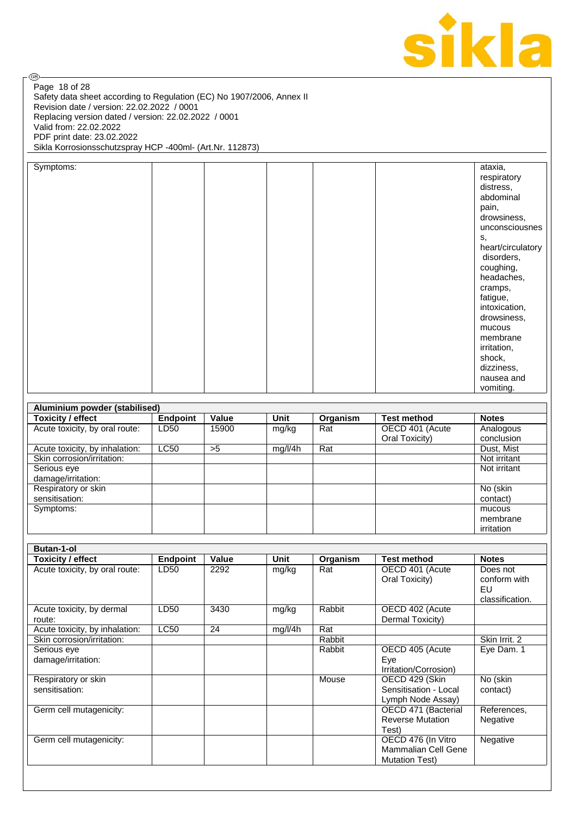

Safety data sheet according to Regulation (EC) No 1907/2006, Annex II Revision date / version: 22.02.2022 / 0001 Replacing version dated / version: 22.02.2022 / 0001 Valid from: 22.02.2022 PDF print date: 23.02.2022 Sikla Korrosionsschutzspray HCP -400ml- (Art.Nr. 112873) Page 18 of 28

| Symptoms: |  | ataxia,           |
|-----------|--|-------------------|
|           |  | respiratory       |
|           |  | distress,         |
|           |  | abdominal         |
|           |  |                   |
|           |  | pain,             |
|           |  | drowsiness,       |
|           |  | unconsciousnes    |
|           |  | S,                |
|           |  | heart/circulatory |
|           |  | disorders,        |
|           |  | coughing,         |
|           |  | headaches,        |
|           |  | cramps,           |
|           |  | fatigue,          |
|           |  | intoxication,     |
|           |  | drowsiness,       |
|           |  |                   |
|           |  | mucous            |
|           |  | membrane          |
|           |  | irritation,       |
|           |  | shock,            |
|           |  | dizziness,        |
|           |  | nausea and        |
|           |  | vomiting.         |

| Aluminium powder (stabilised)  |             |       |         |          |                    |              |
|--------------------------------|-------------|-------|---------|----------|--------------------|--------------|
| <b>Toxicity / effect</b>       | Endpoint    | Value | Unit    | Organism | <b>Test method</b> | <b>Notes</b> |
| Acute toxicity, by oral route: | LD50        | 15900 | mg/kg   | Rat      | OECD 401 (Acute    | Analogous    |
|                                |             |       |         |          | Oral Toxicity)     | conclusion   |
| Acute toxicity, by inhalation: | <b>LC50</b> | >5    | mg/l/4h | Rat      |                    | Dust, Mist   |
| Skin corrosion/irritation:     |             |       |         |          |                    | Not irritant |
| Serious eye                    |             |       |         |          |                    | Not irritant |
| damage/irritation:             |             |       |         |          |                    |              |
| Respiratory or skin            |             |       |         |          |                    | No (skin     |
| sensitisation:                 |             |       |         |          |                    | contact)     |
| Symptoms:                      |             |       |         |          |                    | mucous       |
|                                |             |       |         |          |                    | membrane     |
|                                |             |       |         |          |                    | irritation   |

| <b>Notes</b>    |
|-----------------|
| Does not        |
| conform with    |
| EU              |
| classification. |
|                 |
|                 |
|                 |
| Skin Irrit, 2   |
| Eye Dam. 1      |
|                 |
|                 |
| No (skin        |
| contact)        |
|                 |
| References,     |
| Negative        |
|                 |
| Negative        |
|                 |
|                 |
|                 |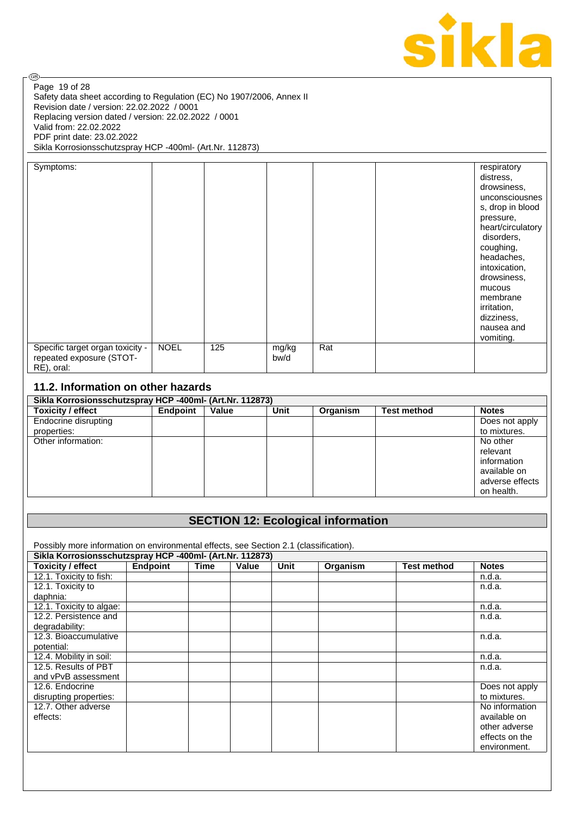

Safety data sheet according to Regulation (EC) No 1907/2006, Annex II Revision date / version: 22.02.2022 / 0001 Replacing version dated / version: 22.02.2022 / 0001 Valid from: 22.02.2022 PDF print date: 23.02.2022 Sikla Korrosionsschutzspray HCP -400ml- (Art.Nr. 112873) Page 19 of 28

| Symptoms:                                                                  |             |     |               |     | respiratory<br>distress,<br>drowsiness,<br>unconsciousnes<br>s, drop in blood<br>pressure,<br>heart/circulatory<br>disorders,<br>coughing,<br>headaches,<br>intoxication,<br>drowsiness,<br>mucous<br>membrane<br>irritation,<br>dizziness,<br>nausea and<br>vomiting. |
|----------------------------------------------------------------------------|-------------|-----|---------------|-----|------------------------------------------------------------------------------------------------------------------------------------------------------------------------------------------------------------------------------------------------------------------------|
| Specific target organ toxicity -<br>repeated exposure (STOT-<br>RE), oral: | <b>NOEL</b> | 125 | mg/kg<br>bw/d | Rat |                                                                                                                                                                                                                                                                        |

## **11.2. Information on other hazards**

| Sikla Korrosionsschutzspray HCP -400ml- (Art.Nr. 112873) |          |       |      |          |                    |                 |  |  |
|----------------------------------------------------------|----------|-------|------|----------|--------------------|-----------------|--|--|
| <b>Toxicity / effect</b>                                 | Endpoint | Value | Unit | Organism | <b>Test method</b> | <b>Notes</b>    |  |  |
| Endocrine disrupting                                     |          |       |      |          |                    | Does not apply  |  |  |
| properties:                                              |          |       |      |          |                    | to mixtures.    |  |  |
| Other information:                                       |          |       |      |          |                    | No other        |  |  |
|                                                          |          |       |      |          |                    | relevant        |  |  |
|                                                          |          |       |      |          |                    | information     |  |  |
|                                                          |          |       |      |          |                    | available on    |  |  |
|                                                          |          |       |      |          |                    | adverse effects |  |  |
|                                                          |          |       |      |          |                    | on health.      |  |  |

## **SECTION 12: Ecological information**

Possibly more information on environmental effects, see Section 2.1 (classification).

| Sikla Korrosionsschutzspray HCP -400ml- (Art.Nr. 112873) |          |      |       |             |          |                    |                |
|----------------------------------------------------------|----------|------|-------|-------------|----------|--------------------|----------------|
| Toxicity / effect                                        | Endpoint | Time | Value | <b>Unit</b> | Organism | <b>Test method</b> | <b>Notes</b>   |
| 12.1. Toxicity to fish:                                  |          |      |       |             |          |                    | n.d.a.         |
| 12.1. Toxicity to                                        |          |      |       |             |          |                    | n.d.a.         |
| daphnia:                                                 |          |      |       |             |          |                    |                |
| 12.1. Toxicity to algae:                                 |          |      |       |             |          |                    | n.d.a.         |
| 12.2. Persistence and                                    |          |      |       |             |          |                    | n.d.a.         |
| degradability:                                           |          |      |       |             |          |                    |                |
| 12.3. Bioaccumulative                                    |          |      |       |             |          |                    | n.d.a.         |
| potential:                                               |          |      |       |             |          |                    |                |
| 12.4. Mobility in soil:                                  |          |      |       |             |          |                    | n.d.a.         |
| 12.5. Results of PBT                                     |          |      |       |             |          |                    | n.d.a.         |
| and vPvB assessment                                      |          |      |       |             |          |                    |                |
| 12.6. Endocrine                                          |          |      |       |             |          |                    | Does not apply |
| disrupting properties:                                   |          |      |       |             |          |                    | to mixtures.   |
| 12.7. Other adverse                                      |          |      |       |             |          |                    | No information |
| effects:                                                 |          |      |       |             |          |                    | available on   |
|                                                          |          |      |       |             |          |                    | other adverse  |
|                                                          |          |      |       |             |          |                    | effects on the |
|                                                          |          |      |       |             |          |                    | environment.   |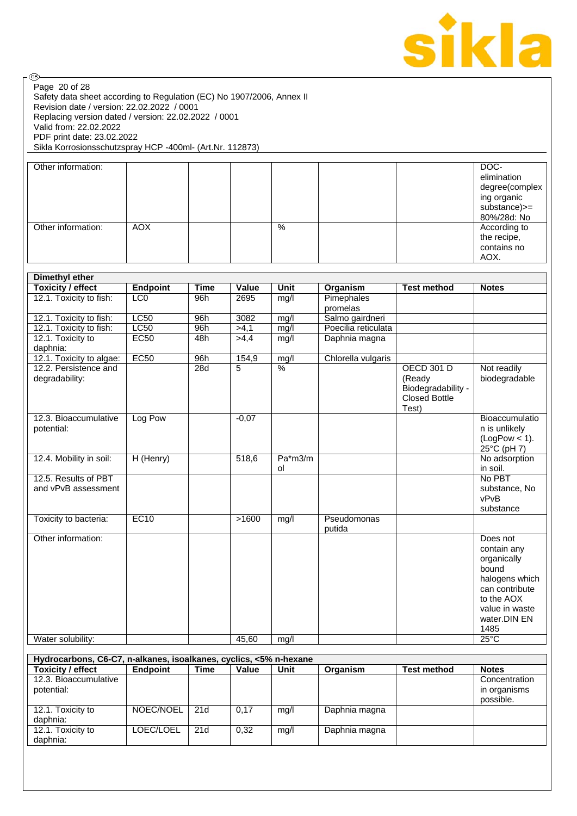

Safety data sheet according to Regulation (EC) No 1907/2006, Annex II Revision date / version: 22.02.2022 / 0001 Replacing version dated / version: 22.02.2022 / 0001 Valid from: 22.02.2022 PDF print date: 23.02.2022 Sikla Korrosionsschutzspray HCP -400ml- (Art.Nr. 112873) Page 20 of 28

| Other information: |            |   |  | DOC-<br>elimination<br>degree(complex<br>ing organic<br>substance)>=<br>80%/28d: No |
|--------------------|------------|---|--|-------------------------------------------------------------------------------------|
| Other information: | <b>AOX</b> | % |  | According to<br>the recipe,<br>contains no<br>AOX.                                  |

| <b>Dimethyl ether</b>                       |                 |             |         |               |                       |                                                                                    |                                                                                                                                             |
|---------------------------------------------|-----------------|-------------|---------|---------------|-----------------------|------------------------------------------------------------------------------------|---------------------------------------------------------------------------------------------------------------------------------------------|
| <b>Toxicity / effect</b>                    | Endpoint        | <b>Time</b> | Value   | <b>Unit</b>   | Organism              | <b>Test method</b>                                                                 | <b>Notes</b>                                                                                                                                |
| 12.1. Toxicity to fish:                     | LC <sub>0</sub> | 96h         | 2695    | mg/l          | Pimephales            |                                                                                    |                                                                                                                                             |
|                                             |                 |             |         |               | promelas              |                                                                                    |                                                                                                                                             |
| 12.1. Toxicity to fish:                     | LC50            | 96h         | 3082    | mg/l          | Salmo gairdneri       |                                                                                    |                                                                                                                                             |
| 12.1. Toxicity to fish:                     | LC50            | 96h         | >4,1    | mg/l          | Poecilia reticulata   |                                                                                    |                                                                                                                                             |
| 12.1. Toxicity to<br>daphnia:               | EC50            | 48h         | >4,4    | mg/l          | Daphnia magna         |                                                                                    |                                                                                                                                             |
| 12.1. Toxicity to algae:                    | EC50            | 96h         | 154,9   | mg/l          | Chlorella vulgaris    |                                                                                    |                                                                                                                                             |
| 12.2. Persistence and<br>degradability:     |                 | 28d         | 5       | $\frac{0}{0}$ |                       | <b>OECD 301 D</b><br>(Ready<br>Biodegradability -<br><b>Closed Bottle</b><br>Test) | Not readily<br>biodegradable                                                                                                                |
| 12.3. Bioaccumulative<br>potential:         | Log Pow         |             | $-0,07$ |               |                       |                                                                                    | Bioaccumulatio<br>n is unlikely<br>$(LogPow < 1)$ .<br>25°C (pH 7)                                                                          |
| 12.4. Mobility in soil:                     | H (Henry)       |             | 518,6   | Pa*m3/m<br>0l |                       |                                                                                    | No adsorption<br>in soil.                                                                                                                   |
| 12.5. Results of PBT<br>and vPvB assessment |                 |             |         |               |                       |                                                                                    | No PBT<br>substance, No<br>vPvB<br>substance                                                                                                |
| Toxicity to bacteria:                       | EC10            |             | >1600   | mg/l          | Pseudomonas<br>putida |                                                                                    |                                                                                                                                             |
| Other information:                          |                 |             |         |               |                       |                                                                                    | Does not<br>contain any<br>organically<br>bound<br>halogens which<br>can contribute<br>to the AOX<br>value in waste<br>water.DIN EN<br>1485 |
| Water solubility:                           |                 |             | 45,60   | mg/l          |                       |                                                                                    | $25^{\circ}$ C                                                                                                                              |

| Hydrocarbons, C6-C7, n-alkanes, isoalkanes, cyclics, <5% n-hexane |                 |      |       |      |               |                    |               |  |  |
|-------------------------------------------------------------------|-----------------|------|-------|------|---------------|--------------------|---------------|--|--|
| <b>Toxicity / effect</b>                                          | <b>Endpoint</b> | Time | Value | Unit | Organism      | <b>Test method</b> | <b>Notes</b>  |  |  |
| 12.3. Bioaccumulative                                             |                 |      |       |      |               |                    | Concentration |  |  |
| potential:                                                        |                 |      |       |      |               |                    | in organisms  |  |  |
|                                                                   |                 |      |       |      |               |                    | possible.     |  |  |
| 12.1. Toxicity to                                                 | NOEC/NOEL       | 21d  | 0.17  | mg/l | Daphnia magna |                    |               |  |  |
| daphnia:                                                          |                 |      |       |      |               |                    |               |  |  |
| 12.1. Toxicity to                                                 | LOEC/LOEL       | 21d  | 0.32  | mq/l | Daphnia magna |                    |               |  |  |
| daphnia:                                                          |                 |      |       |      |               |                    |               |  |  |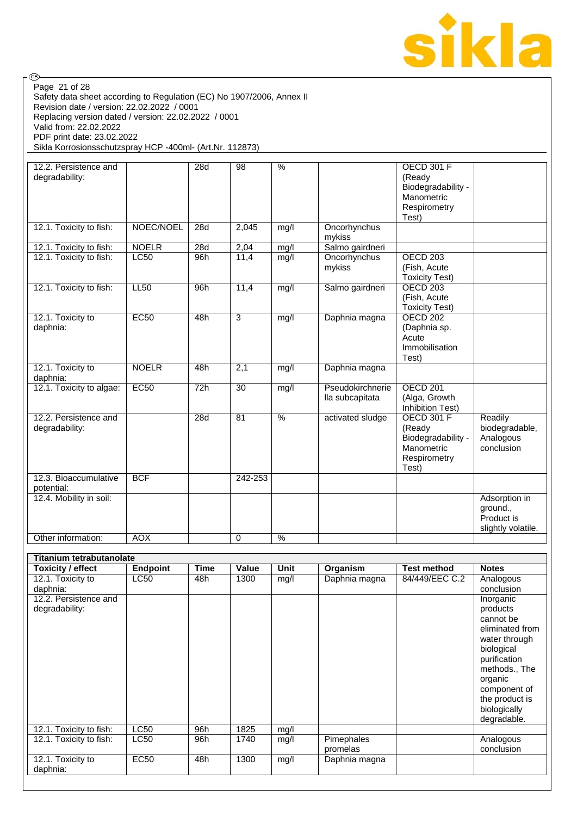

Safety data sheet according to Regulation (EC) No 1907/2006, Annex II Revision date / version: 22.02.2022 / 0001 Replacing version dated / version: 22.02.2022 / 0001 Valid from: 22.02.2022 PDF print date: 23.02.2022 Sikla Korrosionsschutzspray HCP -400ml- (Art.Nr. 112873) Page 21 of 28

| 12.2. Persistence and<br>degradability: |              | 28d | 98          | $\frac{0}{0}$   |                                     | <b>OECD 301 F</b><br>(Ready<br>Biodegradability -<br>Manometric<br>Respirometry<br>Test) |                                                               |
|-----------------------------------------|--------------|-----|-------------|-----------------|-------------------------------------|------------------------------------------------------------------------------------------|---------------------------------------------------------------|
| 12.1. Toxicity to fish:                 | NOEC/NOEL    | 28d | 2,045       | mg/l            | Oncorhynchus<br>mykiss              |                                                                                          |                                                               |
| 12.1. Toxicity to fish:                 | <b>NOELR</b> | 28d | 2,04        | mg/l            | Salmo gairdneri                     |                                                                                          |                                                               |
| 12.1. Toxicity to fish:                 | <b>LC50</b>  | 96h | 11,4        | mg/l            | Oncorhynchus<br>mykiss              | OECD <sub>203</sub><br>(Fish, Acute<br><b>Toxicity Test)</b>                             |                                                               |
| 12.1. Toxicity to fish:                 | <b>LL50</b>  | 96h | 11,4        | mg/l            | Salmo gairdneri                     | <b>OECD 203</b><br>(Fish, Acute<br><b>Toxicity Test)</b>                                 |                                                               |
| 12.1. Toxicity to<br>daphnia:           | <b>EC50</b>  | 48h | 3           | mg/I            | Daphnia magna                       | <b>OECD 202</b><br>(Daphnia sp.<br>Acute<br>Immobilisation<br>Test)                      |                                                               |
| 12.1. Toxicity to<br>daphnia:           | <b>NOELR</b> | 48h | 2,1         | mg/l            | Daphnia magna                       |                                                                                          |                                                               |
| 12.1. Toxicity to algae:                | EC50         | 72h | 30          | mg/l            | Pseudokirchnerie<br>lla subcapitata | OECD <sub>201</sub><br>(Alga, Growth<br>Inhibition Test)                                 |                                                               |
| 12.2. Persistence and<br>degradability: |              | 28d | 81          | $\overline{\%}$ | activated sludge                    | <b>OECD 301 F</b><br>(Ready<br>Biodegradability -<br>Manometric<br>Respirometry<br>Test) | Readily<br>biodegradable,<br>Analogous<br>conclusion          |
| 12.3. Bioaccumulative<br>potential:     | <b>BCF</b>   |     | 242-253     |                 |                                     |                                                                                          |                                                               |
| 12.4. Mobility in soil:                 |              |     |             |                 |                                     |                                                                                          | Adsorption in<br>ground.,<br>Product is<br>slightly volatile. |
| Other information:                      | <b>AOX</b>   |     | $\mathbf 0$ | %               |                                     |                                                                                          |                                                               |

| Titanium tetrabutanolate |                 |      |       |      |               |                    |                 |
|--------------------------|-----------------|------|-------|------|---------------|--------------------|-----------------|
| Toxicity / effect        | <b>Endpoint</b> | Time | Value | Unit | Organism      | <b>Test method</b> | <b>Notes</b>    |
| 12.1. Toxicity to        | <b>LC50</b>     | 48h  | 1300  | mg/l | Daphnia magna | 84/449/EEC C.2     | Analogous       |
| daphnia:                 |                 |      |       |      |               |                    | conclusion      |
| 12.2. Persistence and    |                 |      |       |      |               |                    | Inorganic       |
| degradability:           |                 |      |       |      |               |                    | products        |
|                          |                 |      |       |      |               |                    | cannot be       |
|                          |                 |      |       |      |               |                    | eliminated from |
|                          |                 |      |       |      |               |                    | water through   |
|                          |                 |      |       |      |               |                    | biological      |
|                          |                 |      |       |      |               |                    | purification    |
|                          |                 |      |       |      |               |                    | methods., The   |
|                          |                 |      |       |      |               |                    | organic         |
|                          |                 |      |       |      |               |                    | component of    |
|                          |                 |      |       |      |               |                    | the product is  |
|                          |                 |      |       |      |               |                    | biologically    |
|                          |                 |      |       |      |               |                    | degradable.     |
| 12.1. Toxicity to fish:  | <b>LC50</b>     | 96h  | 1825  | mg/l |               |                    |                 |
| 12.1. Toxicity to fish:  | <b>LC50</b>     | 96h  | 1740  | mg/l | Pimephales    |                    | Analogous       |
|                          |                 |      |       |      | promelas      |                    | conclusion      |
| 12.1. Toxicity to        | <b>EC50</b>     | 48h  | 1300  | mg/l | Daphnia magna |                    |                 |
| daphnia:                 |                 |      |       |      |               |                    |                 |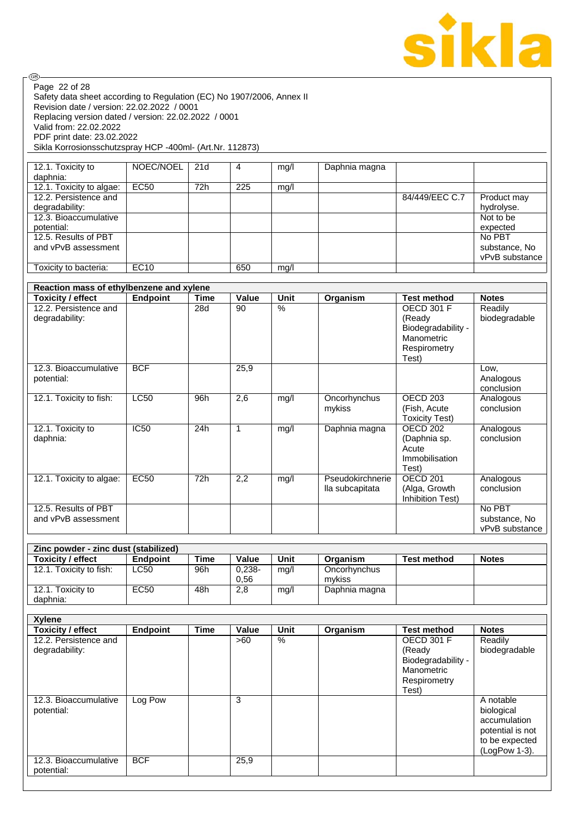

| Page 22 of 28                                                         |                 |             |              |                          |                  |                       |                         |
|-----------------------------------------------------------------------|-----------------|-------------|--------------|--------------------------|------------------|-----------------------|-------------------------|
| Safety data sheet according to Regulation (EC) No 1907/2006, Annex II |                 |             |              |                          |                  |                       |                         |
| Revision date / version: 22.02.2022 / 0001                            |                 |             |              |                          |                  |                       |                         |
| Replacing version dated / version: 22.02.2022 / 0001                  |                 |             |              |                          |                  |                       |                         |
| Valid from: 22.02.2022                                                |                 |             |              |                          |                  |                       |                         |
| PDF print date: 23.02.2022                                            |                 |             |              |                          |                  |                       |                         |
| Sikla Korrosionsschutzspray HCP -400ml- (Art.Nr. 112873)              |                 |             |              |                          |                  |                       |                         |
|                                                                       |                 |             |              |                          |                  |                       |                         |
| 12.1. Toxicity to                                                     | NOEC/NOEL       | 21d         | 4            | mg/l                     | Daphnia magna    |                       |                         |
| daphnia:<br>12.1. Toxicity to algae:                                  | EC50            | 72h         | 225          | mg/l                     |                  |                       |                         |
| 12.2. Persistence and                                                 |                 |             |              |                          |                  | 84/449/EEC C.7        | Product may             |
| degradability:                                                        |                 |             |              |                          |                  |                       | hydrolyse.              |
| 12.3. Bioaccumulative                                                 |                 |             |              |                          |                  |                       | Not to be               |
| potential:                                                            |                 |             |              |                          |                  |                       | expected                |
| 12.5. Results of PBT                                                  |                 |             |              |                          |                  |                       | No PBT                  |
| and vPvB assessment                                                   |                 |             |              |                          |                  |                       | substance, No           |
|                                                                       |                 |             |              |                          |                  |                       | vPvB substance          |
| Toxicity to bacteria:                                                 | EC10            |             | 650          | mg/l                     |                  |                       |                         |
|                                                                       |                 |             |              |                          |                  |                       |                         |
| Reaction mass of ethylbenzene and xylene                              |                 |             |              |                          |                  |                       |                         |
| <b>Toxicity / effect</b>                                              | <b>Endpoint</b> | <b>Time</b> | Value        | <b>Unit</b>              | Organism         | <b>Test method</b>    | <b>Notes</b>            |
| 12.2. Persistence and                                                 |                 | 28d         | 90           | $\overline{\frac{9}{6}}$ |                  | <b>OECD 301 F</b>     | Readily                 |
| degradability:                                                        |                 |             |              |                          |                  | (Ready                | biodegradable           |
|                                                                       |                 |             |              |                          |                  | Biodegradability -    |                         |
|                                                                       |                 |             |              |                          |                  | Manometric            |                         |
|                                                                       |                 |             |              |                          |                  | Respirometry          |                         |
|                                                                       |                 |             |              |                          |                  | Test)                 |                         |
| 12.3. Bioaccumulative                                                 | <b>BCF</b>      |             | 25,9         |                          |                  |                       | Low,                    |
| potential:                                                            |                 |             |              |                          |                  |                       | Analogous               |
|                                                                       |                 |             |              |                          |                  |                       | conclusion              |
| 12.1. Toxicity to fish:                                               | LC50            | 96h         | 2,6          | mg/l                     | Oncorhynchus     | <b>OECD 203</b>       | Analogous               |
|                                                                       |                 |             |              |                          | mykiss           | (Fish, Acute          | conclusion              |
|                                                                       |                 |             |              |                          |                  | <b>Toxicity Test)</b> |                         |
| 12.1. Toxicity to                                                     | <b>IC50</b>     | 24h         | $\mathbf{1}$ | mg/l                     | Daphnia magna    | OECD <sub>202</sub>   | Analogous<br>conclusion |
| daphnia:                                                              |                 |             |              |                          |                  | (Daphnia sp.<br>Acute |                         |
|                                                                       |                 |             |              |                          |                  | Immobilisation        |                         |
|                                                                       |                 |             |              |                          |                  | Test)                 |                         |
| 12.1. Toxicity to algae:                                              | <b>EC50</b>     | 72h         | 2,2          | mg/l                     | Pseudokirchnerie | OECD <sub>201</sub>   | Analogous               |
|                                                                       |                 |             |              |                          | lla subcapitata  | (Alga, Growth         | conclusion              |
|                                                                       |                 |             |              |                          |                  | Inhibition Test)      |                         |
| 12.5. Results of PBT                                                  |                 |             |              |                          |                  |                       | No PBT                  |
| and vPvB assessment                                                   |                 |             |              |                          |                  |                       | substance, No           |
|                                                                       |                 |             |              |                          |                  |                       | vPvB substance          |
|                                                                       |                 |             |              |                          |                  |                       |                         |
| Zinc powder - zinc dust (stabilized)                                  |                 |             |              |                          |                  |                       |                         |
| <b>Toxicity / effect</b>                                              | <b>Endpoint</b> | <b>Time</b> | Value        | Unit                     | Organism         | <b>Test method</b>    | <b>Notes</b>            |
| 12.1. Toxicity to fish:                                               | <b>LC50</b>     | 96h         | $0,238-$     | mg/l                     | Oncorhynchus     |                       |                         |
|                                                                       |                 |             | 0,56         |                          | mykiss           |                       |                         |
| 12.1. Toxicity to                                                     | <b>EC50</b>     | 48h         | 2,8          | mg/l                     | Daphnia magna    |                       |                         |
| daphnia:                                                              |                 |             |              |                          |                  |                       |                         |
|                                                                       |                 |             |              |                          |                  |                       |                         |
| <b>Xylene</b>                                                         |                 |             |              |                          |                  |                       |                         |
| <b>Toxicity / effect</b>                                              |                 |             |              |                          |                  |                       |                         |
|                                                                       | <b>Endpoint</b> | <b>Time</b> | Value        | Unit                     | Organism         | <b>Test method</b>    | <b>Notes</b>            |
| 12.2. Persistence and                                                 |                 |             | >60          | $\overline{\frac{9}{6}}$ |                  | <b>OECD 301 F</b>     | Readily                 |
| degradability:                                                        |                 |             |              |                          |                  | (Ready                | biodegradable           |
|                                                                       |                 |             |              |                          |                  | Biodegradability -    |                         |
|                                                                       |                 |             |              |                          |                  | Manometric            |                         |
|                                                                       |                 |             |              |                          |                  | Respirometry          |                         |
|                                                                       |                 |             |              |                          |                  | Test)                 |                         |
| 12.3. Bioaccumulative                                                 | Log Pow         |             | 3            |                          |                  |                       | A notable               |
| potential:                                                            |                 |             |              |                          |                  |                       | biological              |
|                                                                       |                 |             |              |                          |                  |                       | accumulation            |
|                                                                       |                 |             |              |                          |                  |                       | potential is not        |
|                                                                       |                 |             |              |                          |                  |                       | to be expected          |
|                                                                       |                 |             |              |                          |                  |                       | (LogPow 1-3).           |
| 12.3. Bioaccumulative<br>potential:                                   | <b>BCF</b>      |             | 25,9         |                          |                  |                       |                         |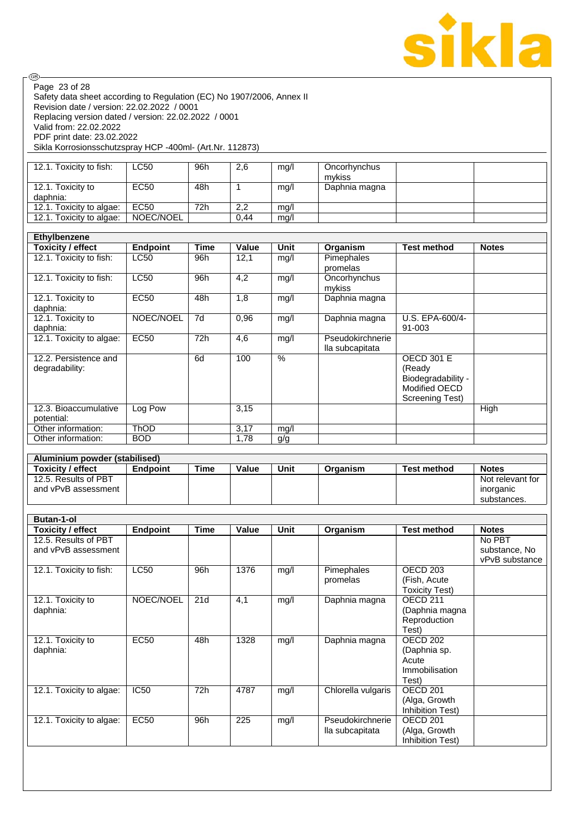

Safety data sheet according to Regulation (EC) No 1907/2006, Annex II Revision date / version: 22.02.2022 / 0001 Replacing version dated / version: 22.02.2022 / 0001 Valid from: 22.02.2022 PDF print date: 23.02.2022 Sikla Korrosionsschutzspray HCP -400ml- (Art.Nr. 112873) Page 23 of 28

| 12.1. Toxicity to fish:       | LC50      | 96h | 2,6  | mq/l | Oncorhynchus  |  |
|-------------------------------|-----------|-----|------|------|---------------|--|
|                               |           |     |      |      | mvkiss        |  |
| 12.1. Toxicity to<br>daphnia: | EC50      | 48h |      | mq/l | Daphnia magna |  |
| 12.1. Toxicity to algae:      | EC50      | 72h | 2,2  | mq/l |               |  |
| 12.1. Toxicity to algae:      | NOEC/NOEL |     | 0.44 | mg/l |               |  |

| Ethylbenzene<br><b>Toxicity / effect</b> | <b>Endpoint</b> | Time | Value | Unit | Organism                            | <b>Test method</b>                                                                    | <b>Notes</b> |
|------------------------------------------|-----------------|------|-------|------|-------------------------------------|---------------------------------------------------------------------------------------|--------------|
| 12.1. Toxicity to fish:                  | LC50            | 96h  | 12,1  | mq/l | Pimephales<br>promelas              |                                                                                       |              |
| 12.1. Toxicity to fish:                  | <b>LC50</b>     | 96h  | 4,2   | mg/l | Oncorhynchus<br>mykiss              |                                                                                       |              |
| 12.1. Toxicity to<br>daphnia:            | <b>EC50</b>     | 48h  | 1,8   | mg/l | Daphnia magna                       |                                                                                       |              |
| 12.1. Toxicity to<br>daphnia:            | NOEC/NOEL       | 7d   | 0,96  | mg/l | Daphnia magna                       | U.S. EPA-600/4-<br>91-003                                                             |              |
| 12.1. Toxicity to algae:                 | <b>EC50</b>     | 72h  | 4,6   | mg/l | Pseudokirchnerie<br>lla subcapitata |                                                                                       |              |
| 12.2. Persistence and<br>degradability:  |                 | 6d   | 100   | $\%$ |                                     | <b>OECD 301 E</b><br>(Ready<br>Biodegradability -<br>Modified OECD<br>Screening Test) |              |
| 12.3. Bioaccumulative<br>potential:      | Log Pow         |      | 3,15  |      |                                     |                                                                                       | High         |
| Other information:                       | <b>ThOD</b>     |      | 3,17  | mg/l |                                     |                                                                                       |              |
| Other information:                       | <b>BOD</b>      |      | 1,78  | g/g  |                                     |                                                                                       |              |

| Aluminium powder (stabilised) |                 |      |       |      |          |                    |                  |
|-------------------------------|-----------------|------|-------|------|----------|--------------------|------------------|
| <b>Toxicity / effect</b>      | <b>Endpoint</b> | Time | Value | Unit | Organism | <b>Test method</b> | <b>Notes</b>     |
| 12.5. Results of PBT          |                 |      |       |      |          |                    | Not relevant for |
| and vPvB assessment           |                 |      |       |      |          |                    | inorganic        |
|                               |                 |      |       |      |          |                    | substances.      |

| <b>Butan-1-ol</b>        |                 |      |       |      |                    |                       |                |
|--------------------------|-----------------|------|-------|------|--------------------|-----------------------|----------------|
| Toxicity / effect        | <b>Endpoint</b> | Time | Value | Unit | Organism           | <b>Test method</b>    | <b>Notes</b>   |
| 12.5. Results of PBT     |                 |      |       |      |                    |                       | No PBT         |
| and vPvB assessment      |                 |      |       |      |                    |                       | substance, No  |
|                          |                 |      |       |      |                    |                       | vPvB substance |
| 12.1. Toxicity to fish:  | <b>LC50</b>     | 96h  | 1376  | mg/l | Pimephales         | OECD 203              |                |
|                          |                 |      |       |      | promelas           | (Fish, Acute)         |                |
|                          |                 |      |       |      |                    | <b>Toxicity Test)</b> |                |
| 12.1. Toxicity to        | NOEC/NOEL       | 21d  | 4,1   | mg/l | Daphnia magna      | OECD <sub>211</sub>   |                |
| daphnia:                 |                 |      |       |      |                    | (Daphnia magna        |                |
|                          |                 |      |       |      |                    | Reproduction          |                |
|                          |                 |      |       |      |                    | Test)                 |                |
| 12.1. Toxicity to        | <b>EC50</b>     | 48h  | 1328  | mg/l | Daphnia magna      | OECD 202              |                |
| daphnia:                 |                 |      |       |      |                    | (Daphnia sp.          |                |
|                          |                 |      |       |      |                    | Acute                 |                |
|                          |                 |      |       |      |                    | Immobilisation        |                |
|                          |                 |      |       |      |                    | Test)                 |                |
| 12.1. Toxicity to algae: | <b>IC50</b>     | 72h  | 4787  | mg/l | Chlorella vulgaris | OECD <sub>201</sub>   |                |
|                          |                 |      |       |      |                    | (Alga, Growth         |                |
|                          |                 |      |       |      |                    | Inhibition Test)      |                |
| 12.1. Toxicity to algae: | <b>EC50</b>     | 96h  | 225   | mg/l | Pseudokirchnerie   | OECD <sub>201</sub>   |                |
|                          |                 |      |       |      | lla subcapitata    | (Alga, Growth         |                |
|                          |                 |      |       |      |                    | Inhibition Test)      |                |
|                          |                 |      |       |      |                    |                       |                |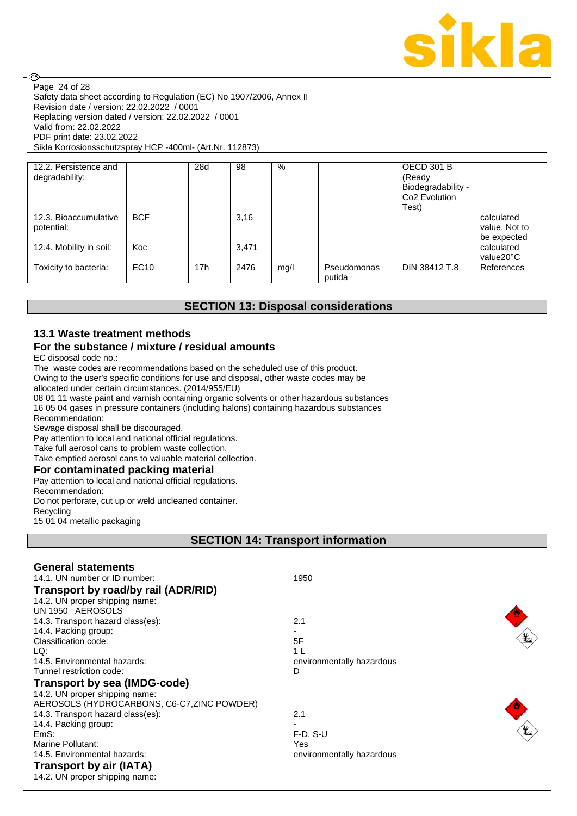

Safety data sheet according to Regulation (EC) No 1907/2006, Annex II Revision date / version: 22.02.2022 / 0001 Replacing version dated / version: 22.02.2022 / 0001 Valid from: 22.02.2022 PDF print date: 23.02.2022 Sikla Korrosionsschutzspray HCP -400ml- (Art.Nr. 112873) Page 24 of 28

| 12.2. Persistence and<br>degradability: |             | 28d             | 98    | %    |                       | <b>OECD 301 B</b><br>(Ready<br>Biodegradability -<br>Co <sub>2</sub> Evolution<br>Test) |                                            |
|-----------------------------------------|-------------|-----------------|-------|------|-----------------------|-----------------------------------------------------------------------------------------|--------------------------------------------|
| 12.3. Bioaccumulative<br>potential:     | <b>BCF</b>  |                 | 3,16  |      |                       |                                                                                         | calculated<br>value, Not to<br>be expected |
| 12.4. Mobility in soil:                 | Koc         |                 | 3.471 |      |                       |                                                                                         | calculated<br>value20°C                    |
| Toxicity to bacteria:                   | <b>EC10</b> | 17 <sub>h</sub> | 2476  | mg/l | Pseudomonas<br>putida | DIN 38412 T.8                                                                           | References                                 |

## **SECTION 13: Disposal considerations**

#### **13.1 Waste treatment methods For the substance / mixture / residual amounts**

EC disposal code no.:

@

The waste codes are recommendations based on the scheduled use of this product. Owing to the user's specific conditions for use and disposal, other waste codes may be allocated under certain circumstances. (2014/955/EU)

08 01 11 waste paint and varnish containing organic solvents or other hazardous substances 16 05 04 gases in pressure containers (including halons) containing hazardous substances Recommendation:

Sewage disposal shall be discouraged.

Pay attention to local and national official regulations.

Take full aerosol cans to problem waste collection.

Take emptied aerosol cans to valuable material collection.

#### **For contaminated packing material**

Pay attention to local and national official regulations. Recommendation: Do not perforate, cut up or weld uncleaned container. Recycling 15 01 04 metallic packaging

## **SECTION 14: Transport information**

| <b>General statements</b><br>14.1. UN number or ID number:<br>Transport by road/by rail (ADR/RID)<br>14.2. UN proper shipping name:<br>UN 1950 AEROSOLS | 1950                      |
|---------------------------------------------------------------------------------------------------------------------------------------------------------|---------------------------|
| 14.3. Transport hazard class(es):                                                                                                                       | 2.1                       |
| 14.4. Packing group:                                                                                                                                    |                           |
| Classification code:                                                                                                                                    | 5F                        |
| LQ:                                                                                                                                                     | 1 I                       |
| 14.5. Environmental hazards:                                                                                                                            | environmentally hazardous |
| Tunnel restriction code:                                                                                                                                | D                         |
| <b>Transport by sea (IMDG-code)</b>                                                                                                                     |                           |
| 14.2. UN proper shipping name:                                                                                                                          |                           |
| AEROSOLS (HYDROCARBONS, C6-C7, ZINC POWDER)                                                                                                             |                           |
| 14.3. Transport hazard class(es):                                                                                                                       | 2.1                       |
| 14.4. Packing group:                                                                                                                                    |                           |
| EmS:                                                                                                                                                    | $F-D, S-U$                |
| Marine Pollutant:                                                                                                                                       | Yes                       |
| 14.5. Environmental hazards:                                                                                                                            | environmentally hazardous |
| <b>Transport by air (IATA)</b><br>14.2. UN proper shipping name:                                                                                        |                           |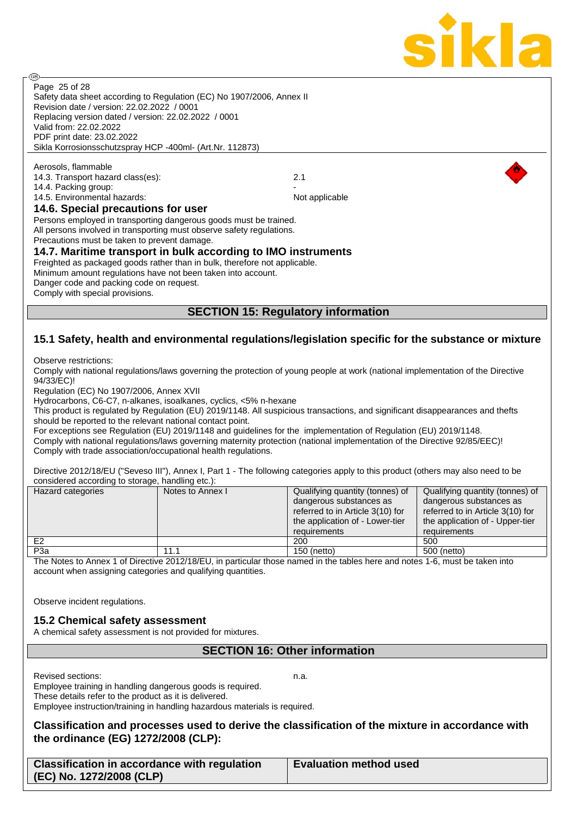

**ි** 

Safety data sheet according to Regulation (EC) No 1907/2006, Annex II Revision date / version: 22.02.2022 / 0001 Replacing version dated / version: 22.02.2022 / 0001 Valid from: 22.02.2022 PDF print date: 23.02.2022 Sikla Korrosionsschutzspray HCP -400ml- (Art.Nr. 112873) Page 25 of 28

Aerosols, flammable 14.3. Transport hazard class(es): 2.1 14.4. Packing group: 14.5. Environmental hazards: Not applicable Not applicable

#### **14.6. Special precautions for user**

Persons employed in transporting dangerous goods must be trained. All persons involved in transporting must observe safety regulations.

Precautions must be taken to prevent damage.

## **14.7. Maritime transport in bulk according to IMO instruments**

Freighted as packaged goods rather than in bulk, therefore not applicable. Minimum amount regulations have not been taken into account. Danger code and packing code on request.

Comply with special provisions.

## **SECTION 15: Regulatory information**

## **15.1 Safety, health and environmental regulations/legislation specific for the substance or mixture**

Observe restrictions:

Comply with national regulations/laws governing the protection of young people at work (national implementation of the Directive 94/33/EC)!

Regulation (EC) No 1907/2006, Annex XVII

Hydrocarbons, C6-C7, n-alkanes, isoalkanes, cyclics, <5% n-hexane

This product is regulated by Regulation (EU) 2019/1148. All suspicious transactions, and significant disappearances and thefts should be reported to the relevant national contact point.

For exceptions see Regulation (EU) 2019/1148 and guidelines for the implementation of Regulation (EU) 2019/1148. Comply with national regulations/laws governing maternity protection (national implementation of the Directive 92/85/EEC)! Comply with trade association/occupational health regulations.

Directive 2012/18/EU ("Seveso III"), Annex I, Part 1 - The following categories apply to this product (others may also need to be considered according to storage, handling etc.):

| Hazard categories | Notes to Annex I | Qualifying quantity (tonnes) of                                                                                | Qualifying quantity (tonnes) of                                                                                |
|-------------------|------------------|----------------------------------------------------------------------------------------------------------------|----------------------------------------------------------------------------------------------------------------|
|                   |                  | dangerous substances as<br>referred to in Article 3(10) for<br>the application of - Lower-tier<br>requirements | dangerous substances as<br>referred to in Article 3(10) for<br>the application of - Upper-tier<br>requirements |
| E <sub>2</sub>    |                  | 200                                                                                                            | 500                                                                                                            |
|                   |                  |                                                                                                                |                                                                                                                |
| P <sub>3</sub> a  | 11.1             | 150 (netto)                                                                                                    | 500 (netto)                                                                                                    |

The Notes to Annex 1 of Directive 2012/18/EU, in particular those named in the tables here and notes 1-6, must be taken into account when assigning categories and qualifying quantities.

Observe incident regulations.

## **15.2 Chemical safety assessment**

A chemical safety assessment is not provided for mixtures.

## **SECTION 16: Other information**

Revised sections: n.a.

Employee training in handling dangerous goods is required. These details refer to the product as it is delivered. Employee instruction/training in handling hazardous materials is required.

**Classification and processes used to derive the classification of the mixture in accordance with the ordinance (EG) 1272/2008 (CLP):**

**Classification in accordance with regulation (EC) No. 1272/2008 (CLP)**

**Evaluation method used**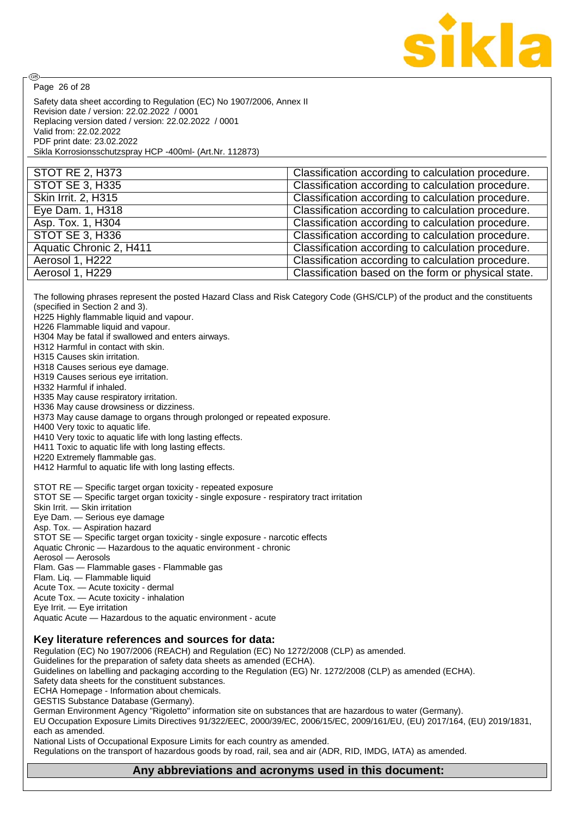

Page 26 of 28

@

Safety data sheet according to Regulation (EC) No 1907/2006, Annex II Revision date / version: 22.02.2022 / 0001 Replacing version dated / version: 22.02.2022 / 0001 Valid from: 22.02.2022 PDF print date: 23.02.2022 Sikla Korrosionsschutzspray HCP -400ml- (Art.Nr. 112873)

| Classification according to calculation procedure.  |
|-----------------------------------------------------|
| Classification according to calculation procedure.  |
| Classification according to calculation procedure.  |
| Classification according to calculation procedure.  |
| Classification according to calculation procedure.  |
| Classification according to calculation procedure.  |
| Classification according to calculation procedure.  |
| Classification according to calculation procedure.  |
| Classification based on the form or physical state. |
|                                                     |

The following phrases represent the posted Hazard Class and Risk Category Code (GHS/CLP) of the product and the constituents (specified in Section 2 and 3).

H225 Highly flammable liquid and vapour.

H226 Flammable liquid and vapour.

H304 May be fatal if swallowed and enters airways.

H312 Harmful in contact with skin.

H315 Causes skin irritation.

H318 Causes serious eye damage.

H319 Causes serious eye irritation.

H332 Harmful if inhaled.

H335 May cause respiratory irritation.

H336 May cause drowsiness or dizziness.

H373 May cause damage to organs through prolonged or repeated exposure.

H400 Very toxic to aquatic life.

H410 Very toxic to aquatic life with long lasting effects.

H411 Toxic to aquatic life with long lasting effects.

H220 Extremely flammable gas.

H412 Harmful to aquatic life with long lasting effects.

STOT RE — Specific target organ toxicity - repeated exposure

STOT SE — Specific target organ toxicity - single exposure - respiratory tract irritation

Skin Irrit. — Skin irritation

Eye Dam. — Serious eye damage

Asp. Tox. — Aspiration hazard

STOT SE — Specific target organ toxicity - single exposure - narcotic effects

Aquatic Chronic — Hazardous to the aquatic environment - chronic

Aerosol — Aerosols

Flam. Gas — Flammable gases - Flammable gas

Flam. Liq. — Flammable liquid

Acute Tox. — Acute toxicity - dermal

Acute Tox. — Acute toxicity - inhalation

Eye Irrit. — Eye irritation

Aquatic Acute — Hazardous to the aquatic environment - acute

#### **Key literature references and sources for data:**

Regulation (EC) No 1907/2006 (REACH) and Regulation (EC) No 1272/2008 (CLP) as amended. Guidelines for the preparation of safety data sheets as amended (ECHA).

Guidelines on labelling and packaging according to the Regulation (EG) Nr. 1272/2008 (CLP) as amended (ECHA). Safety data sheets for the constituent substances.

ECHA Homepage - Information about chemicals.

GESTIS Substance Database (Germany).

German Environment Agency "Rigoletto" information site on substances that are hazardous to water (Germany).

EU Occupation Exposure Limits Directives 91/322/EEC, 2000/39/EC, 2006/15/EC, 2009/161/EU, (EU) 2017/164, (EU) 2019/1831, each as amended.

National Lists of Occupational Exposure Limits for each country as amended.

Regulations on the transport of hazardous goods by road, rail, sea and air (ADR, RID, IMDG, IATA) as amended.

#### **Any abbreviations and acronyms used in this document:**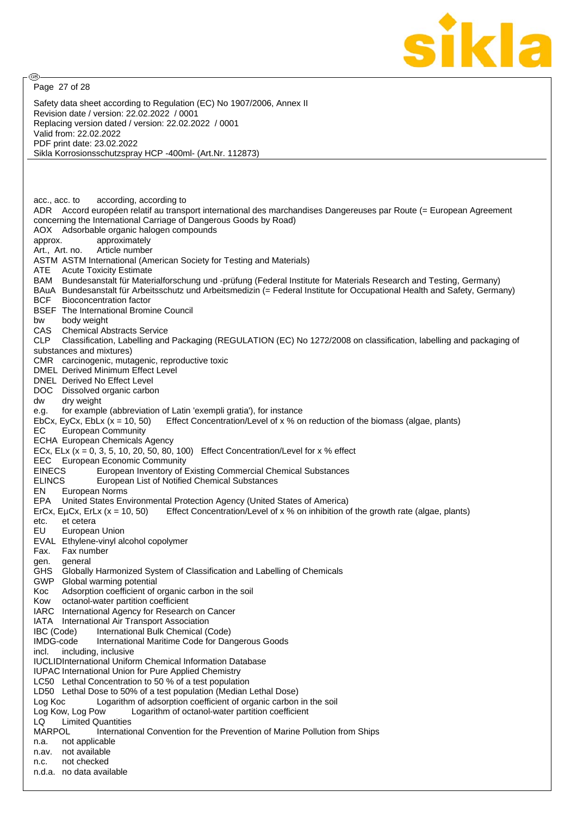

Safety data sheet according to Regulation (EC) No 1907/2006, Annex II Revision date / version: 22.02.2022 / 0001 Replacing version dated / version: 22.02.2022 / 0001 Valid from: 22.02.2022 PDF print date: 23.02.2022 Sikla Korrosionsschutzspray HCP -400ml- (Art.Nr. 112873) acc., acc. to according, according to ADR Accord européen relatif au transport international des marchandises Dangereuses par Route (= European Agreement concerning the International Carriage of Dangerous Goods by Road) AOX Adsorbable organic halogen compounds approx. approximately Art., Art. no. Article number ASTM ASTM International (American Society for Testing and Materials) ATE Acute Toxicity Estimate BAM Bundesanstalt für Materialforschung und -prüfung (Federal Institute for Materials Research and Testing, Germany) BAuA Bundesanstalt für Arbeitsschutz und Arbeitsmedizin (= Federal Institute for Occupational Health and Safety, Germany) BCF Bioconcentration factor BSEF The International Bromine Council bw body weight CAS Chemical Abstracts Service CLP Classification, Labelling and Packaging (REGULATION (EC) No 1272/2008 on classification, labelling and packaging of substances and mixtures) CMR carcinogenic, mutagenic, reproductive toxic DMEL Derived Minimum Effect Level DNEL Derived No Effect Level DOC Dissolved organic carbon dw dry weight e.g. for example (abbreviation of Latin 'exempli gratia'), for instance EbCx, EvCx, EbLx  $(x = 10, 50)$  Effect Concentration/Level of x % on reduction of the biomass (algae, plants) EC European Community ECHA European Chemicals Agency ECx, ELx  $(x = 0, 3, 5, 10, 20, 50, 80, 100)$  Effect Concentration/Level for x % effect EEC European Economic Community EINECS European Inventory of Existing Commercial Chemical Substances ELINCS European List of Notified Chemical Substances EN European Norms EPA United States Environmental Protection Agency (United States of America) ErCx, EµCx, ErLx ( $x = 10$ , 50) Effect Concentration/Level of x % on inhibition of the growth rate (algae, plants) etc. et cetera EU European Union EVAL Ethylene-vinyl alcohol copolymer Fax. Fax number gen. general GHS Globally Harmonized System of Classification and Labelling of Chemicals GWP Global warming potential Koc Adsorption coefficient of organic carbon in the soil Kow octanol-water partition coefficient IARC International Agency for Research on Cancer IATA International Air Transport Association IBC (Code) International Bulk Chemical (Code) IMDG-code International Maritime Code for Dangerous Goods incl. including, inclusive IUCLIDInternational Uniform Chemical Information Database IUPAC International Union for Pure Applied Chemistry LC50 Lethal Concentration to 50 % of a test population LD50 Lethal Dose to 50% of a test population (Median Lethal Dose) Log Koc Logarithm of adsorption coefficient of organic carbon in the soil Log Kow, Log Pow Logarithm of octanol-water partition coefficient LQ Limited Quantities<br>MARPOL lnternatio International Convention for the Prevention of Marine Pollution from Ships n.a. not applicable n.av. not available n.c. not checked n.d.a. no data available Page 27 of 28

**ි**